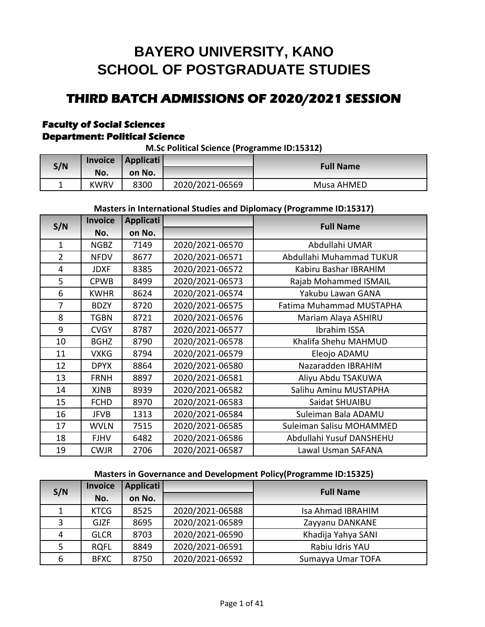# **BAYERO UNIVERSITY, KANO SCHOOL OF POSTGRADUATE STUDIES**

# **THIRD BATCH ADMISSIONS OF 2020/2021 SESSION**

### **Faculty of Social Sciences Department: Political Science**

**M.Sc Political Science (Programme ID:15312)**

| S/N | Invoice     | Applicati |                 | <b>Full Name</b> |
|-----|-------------|-----------|-----------------|------------------|
|     | No.         | on No.    |                 |                  |
|     | <b>KWRV</b> | 8300      | 2020/2021-06569 | Musa AHMED       |

#### **Masters in International Studies and Diplomacy (Programme ID:15317)**

| S/N            | <b>Invoice</b> | <b>Applicati</b> |                 | <b>Full Name</b>         |
|----------------|----------------|------------------|-----------------|--------------------------|
|                | No.            | on No.           |                 |                          |
| $\mathbf{1}$   | <b>NGBZ</b>    | 7149             | 2020/2021-06570 | Abdullahi UMAR           |
| $\overline{2}$ | <b>NFDV</b>    | 8677             | 2020/2021-06571 | Abdullahi Muhammad TUKUR |
| $\overline{4}$ | <b>JDXF</b>    | 8385             | 2020/2021-06572 | Kabiru Bashar IBRAHIM    |
| 5              | <b>CPWB</b>    | 8499             | 2020/2021-06573 | Rajab Mohammed ISMAIL    |
| 6              | <b>KWHR</b>    | 8624             | 2020/2021-06574 | Yakubu Lawan GANA        |
| 7              | <b>BDZY</b>    | 8720             | 2020/2021-06575 | Fatima Muhammad MUSTAPHA |
| 8              | <b>TGBN</b>    | 8721             | 2020/2021-06576 | Mariam Alaya ASHIRU      |
| 9              | <b>CVGY</b>    | 8787             | 2020/2021-06577 | Ibrahim ISSA             |
| 10             | <b>BGHZ</b>    | 8790             | 2020/2021-06578 | Khalifa Shehu MAHMUD     |
| 11             | <b>VXKG</b>    | 8794             | 2020/2021-06579 | Eleojo ADAMU             |
| 12             | <b>DPYX</b>    | 8864             | 2020/2021-06580 | Nazaradden IBRAHIM       |
| 13             | <b>FRNH</b>    | 8897             | 2020/2021-06581 | Aliyu Abdu TSAKUWA       |
| 14             | <b>XJNB</b>    | 8939             | 2020/2021-06582 | Salihu Aminu MUSTAPHA    |
| 15             | <b>FCHD</b>    | 8970             | 2020/2021-06583 | Saidat SHUAIBU           |
| 16             | <b>JFVB</b>    | 1313             | 2020/2021-06584 | Suleiman Bala ADAMU      |
| 17             | <b>WVLN</b>    | 7515             | 2020/2021-06585 | Suleiman Salisu MOHAMMED |
| 18             | <b>FJHV</b>    | 6482             | 2020/2021-06586 | Abdullahi Yusuf DANSHEHU |
| 19             | <b>CWJR</b>    | 2706             | 2020/2021-06587 | Lawal Usman SAFANA       |

#### **Masters in Governance and Development Policy(Programme ID:15325)**

| S/N | <b>Invoice</b> | <b>Applicati</b> |                 | <b>Full Name</b>         |
|-----|----------------|------------------|-----------------|--------------------------|
|     | No.            | on No.           |                 |                          |
| 1   | <b>KTCG</b>    | 8525             | 2020/2021-06588 | <b>Isa Ahmad IBRAHIM</b> |
| 3   | <b>GJZF</b>    | 8695             | 2020/2021-06589 | Zayyanu DANKANE          |
| 4   | <b>GLCR</b>    | 8703             | 2020/2021-06590 | Khadija Yahya SANI       |
| 5.  | <b>RQFL</b>    | 8849             | 2020/2021-06591 | Rabiu Idris YAU          |
| 6   | <b>BFXC</b>    | 8750             | 2020/2021-06592 | Sumayya Umar TOFA        |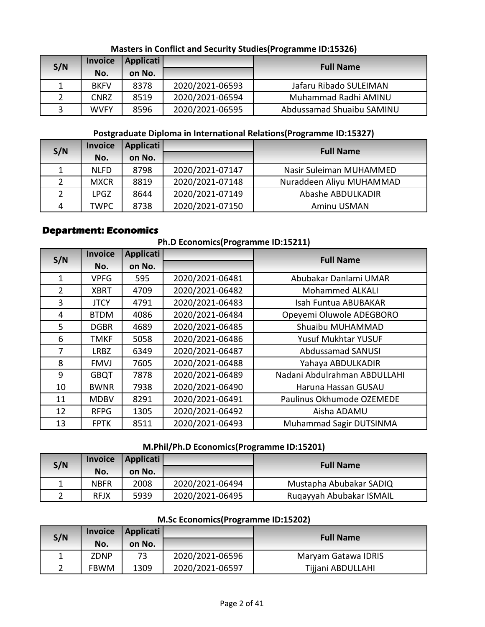| S/N          | <b>Invoice</b> | Applicati |                 | <b>Full Name</b>          |
|--------------|----------------|-----------|-----------------|---------------------------|
|              | No.            | on No.    |                 |                           |
|              | <b>BKFV</b>    | 8378      | 2020/2021-06593 | Jafaru Ribado SULEIMAN    |
|              | <b>CNRZ</b>    | 8519      | 2020/2021-06594 | Muhammad Radhi AMINU      |
| $\mathbf{a}$ | <b>WVFY</b>    | 8596      | 2020/2021-06595 | Abdussamad Shuaibu SAMINU |

### **Masters in Conflict and Security Studies(Programme ID:15326)**

### **Postgraduate Diploma in International Relations(Programme ID:15327)**

| S/N            | <b>Invoice</b> | Applicati |                 | <b>Full Name</b>         |
|----------------|----------------|-----------|-----------------|--------------------------|
|                | No.            | on No.    |                 |                          |
|                | <b>NLFD</b>    | 8798      | 2020/2021-07147 | Nasir Suleiman MUHAMMED  |
| $\overline{2}$ | <b>MXCR</b>    | 8819      | 2020/2021-07148 | Nuraddeen Aliyu MUHAMMAD |
| 2              | LPGZ           | 8644      | 2020/2021-07149 | <b>Abashe ABDULKADIR</b> |
| 4              | <b>TWPC</b>    | 8738      | 2020/2021-07150 | Aminu USMAN              |

### **Department: Economics**

**Ph.D Economics(Programme ID:15211)**

| S/N            | <b>Invoice</b> | Applicati |                 | <b>Full Name</b>             |
|----------------|----------------|-----------|-----------------|------------------------------|
|                | No.            | on No.    |                 |                              |
| $\mathbf{1}$   | <b>VPFG</b>    | 595       | 2020/2021-06481 | Abubakar Danlami UMAR        |
| $\overline{2}$ | <b>XBRT</b>    | 4709      | 2020/2021-06482 | <b>Mohammed ALKALI</b>       |
| 3              | <b>JTCY</b>    | 4791      | 2020/2021-06483 | <b>Isah Funtua ABUBAKAR</b>  |
| 4              | <b>BTDM</b>    | 4086      | 2020/2021-06484 | Opeyemi Oluwole ADEGBORO     |
| 5              | <b>DGBR</b>    | 4689      | 2020/2021-06485 | Shuaibu MUHAMMAD             |
| 6              | <b>TMKF</b>    | 5058      | 2020/2021-06486 | Yusuf Mukhtar YUSUF          |
| 7              | <b>LRBZ</b>    | 6349      | 2020/2021-06487 | <b>Abdussamad SANUSI</b>     |
| 8              | <b>FMVJ</b>    | 7605      | 2020/2021-06488 | Yahaya ABDULKADIR            |
| 9              | <b>GBQT</b>    | 7878      | 2020/2021-06489 | Nadani Abdulrahman ABDULLAHI |
| 10             | <b>BWNR</b>    | 7938      | 2020/2021-06490 | Haruna Hassan GUSAU          |
| 11             | <b>MDBV</b>    | 8291      | 2020/2021-06491 | Paulinus Okhumode OZEMEDE    |
| 12             | <b>RFPG</b>    | 1305      | 2020/2021-06492 | Aisha ADAMU                  |
| 13             | <b>FPTK</b>    | 8511      | 2020/2021-06493 | Muhammad Sagir DUTSINMA      |

### **M.Phil/Ph.D Economics(Programme ID:15201)**

| S/N | <b>Invoice</b> | Applicati |                 | <b>Full Name</b>         |
|-----|----------------|-----------|-----------------|--------------------------|
|     | No.            | on No.    |                 |                          |
|     | <b>NBFR</b>    | 2008      | 2020/2021-06494 | Mustapha Abubakar SADIQ  |
|     | <b>RFJX</b>    | 5939      | 2020/2021-06495 | Rugayyah Abubakar ISMAIL |

### **M.Sc Economics(Programme ID:15202)**

| S/N | <b>Invoice</b> | Applicati |                 | <b>Full Name</b>    |
|-----|----------------|-----------|-----------------|---------------------|
|     | No.            | on No.    |                 |                     |
|     | <b>ZDNP</b>    | 73        | 2020/2021-06596 | Maryam Gatawa IDRIS |
|     | <b>FBWM</b>    | 1309      | 2020/2021-06597 | Tijjani ABDULLAHI   |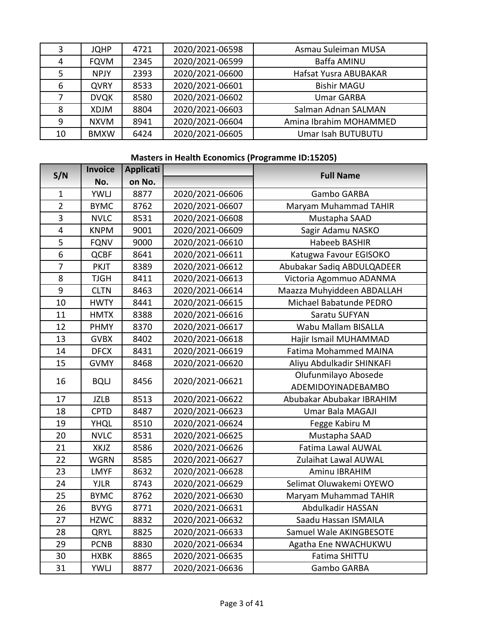| 3  | <b>JQHP</b> | 4721 | 2020/2021-06598 | Asmau Suleiman MUSA    |
|----|-------------|------|-----------------|------------------------|
| 4  | <b>FQVM</b> | 2345 | 2020/2021-06599 | Baffa AMINU            |
| 5  | <b>NPJY</b> | 2393 | 2020/2021-06600 | Hafsat Yusra ABUBAKAR  |
| 6  | <b>QVRY</b> | 8533 | 2020/2021-06601 | <b>Bishir MAGU</b>     |
|    | <b>DVQK</b> | 8580 | 2020/2021-06602 | <b>Umar GARBA</b>      |
| 8  | <b>XDJM</b> | 8804 | 2020/2021-06603 | Salman Adnan SALMAN    |
| 9  | <b>NXVM</b> | 8941 | 2020/2021-06604 | Amina Ibrahim MOHAMMED |
| 10 | <b>BMXW</b> | 6424 | 2020/2021-06605 | Umar Isah BUTUBUTU     |

# **Masters in Health Economics (Programme ID:15205)**

| S/N            | Invoice     | Applicati |                 | <b>Full Name</b>             |
|----------------|-------------|-----------|-----------------|------------------------------|
|                | No.         | on No.    |                 |                              |
| $\mathbf{1}$   | <b>YWLJ</b> | 8877      | 2020/2021-06606 | Gambo GARBA                  |
| $\overline{2}$ | <b>BYMC</b> | 8762      | 2020/2021-06607 | Maryam Muhammad TAHIR        |
| 3              | <b>NVLC</b> | 8531      | 2020/2021-06608 | Mustapha SAAD                |
| 4              | <b>KNPM</b> | 9001      | 2020/2021-06609 | Sagir Adamu NASKO            |
| 5              | <b>FQNV</b> | 9000      | 2020/2021-06610 | <b>Habeeb BASHIR</b>         |
| 6              | <b>QCBF</b> | 8641      | 2020/2021-06611 | Katugwa Favour EGISOKO       |
| $\overline{7}$ | <b>PKJT</b> | 8389      | 2020/2021-06612 | Abubakar Sadiq ABDULQADEER   |
| 8              | <b>TJGH</b> | 8411      | 2020/2021-06613 | Victoria Agommuo ADANMA      |
| 9              | <b>CLTN</b> | 8463      | 2020/2021-06614 | Maazza Muhyiddeen ABDALLAH   |
| 10             | <b>HWTY</b> | 8441      | 2020/2021-06615 | Michael Babatunde PEDRO      |
| 11             | <b>HMTX</b> | 8388      | 2020/2021-06616 | Saratu SUFYAN                |
| 12             | PHMY        | 8370      | 2020/2021-06617 | Wabu Mallam BISALLA          |
| 13             | <b>GVBX</b> | 8402      | 2020/2021-06618 | Hajir Ismail MUHAMMAD        |
| 14             | <b>DFCX</b> | 8431      | 2020/2021-06619 | <b>Fatima Mohammed MAINA</b> |
| 15             | <b>GVMY</b> | 8468      | 2020/2021-06620 | Aliyu Abdulkadir SHINKAFI    |
| 16             | <b>BQLJ</b> | 8456      | 2020/2021-06621 | Olufunmilayo Abosede         |
|                |             |           |                 | ADEMIDOYINADEBAMBO           |
| 17             | <b>JZLB</b> | 8513      | 2020/2021-06622 | Abubakar Abubakar IBRAHIM    |
| 18             | <b>CPTD</b> | 8487      | 2020/2021-06623 | Umar Bala MAGAJI             |
| 19             | <b>YHQL</b> | 8510      | 2020/2021-06624 | Fegge Kabiru M               |
| 20             | <b>NVLC</b> | 8531      | 2020/2021-06625 | Mustapha SAAD                |
| 21             | XKJZ        | 8586      | 2020/2021-06626 | Fatima Lawal AUWAL           |
| 22             | <b>WGRN</b> | 8585      | 2020/2021-06627 | Zulaihat Lawal AUWAL         |
| 23             | <b>LMYF</b> | 8632      | 2020/2021-06628 | Aminu IBRAHIM                |
| 24             | <b>YJLR</b> | 8743      | 2020/2021-06629 | Selimat Oluwakemi OYEWO      |
| 25             | <b>BYMC</b> | 8762      | 2020/2021-06630 | Maryam Muhammad TAHIR        |
| 26             | <b>BVYG</b> | 8771      | 2020/2021-06631 | Abdulkadir HASSAN            |
| 27             | <b>HZWC</b> | 8832      | 2020/2021-06632 | Saadu Hassan ISMAILA         |
| 28             | QRYL        | 8825      | 2020/2021-06633 | Samuel Wale AKINGBESOTE      |
| 29             | <b>PCNB</b> | 8830      | 2020/2021-06634 | Agatha Ene NWACHUKWU         |
| 30             | <b>HXBK</b> | 8865      | 2020/2021-06635 | Fatima SHITTU                |
| 31             | <b>YWLJ</b> | 8877      | 2020/2021-06636 | Gambo GARBA                  |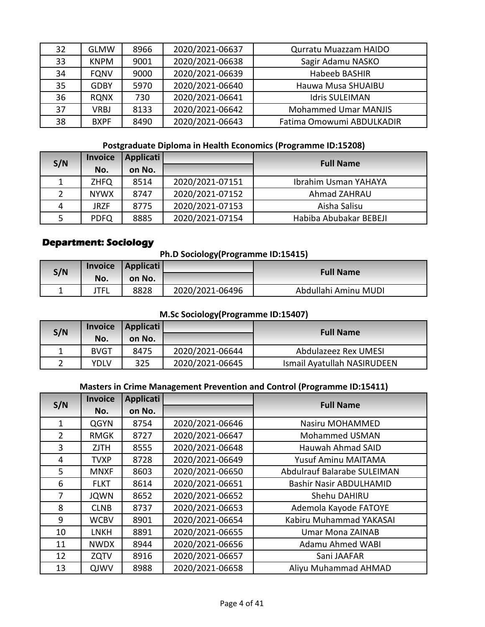| 32 | <b>GLMW</b> | 8966 | 2020/2021-06637 | Qurratu Muazzam HAIDO       |
|----|-------------|------|-----------------|-----------------------------|
| 33 | <b>KNPM</b> | 9001 | 2020/2021-06638 | Sagir Adamu NASKO           |
| 34 | <b>FQNV</b> | 9000 | 2020/2021-06639 | Habeeb BASHIR               |
| 35 | <b>GDBY</b> | 5970 | 2020/2021-06640 | Hauwa Musa SHUAIBU          |
| 36 | <b>RQNX</b> | 730  | 2020/2021-06641 | <b>Idris SULEIMAN</b>       |
| 37 | VRBJ        | 8133 | 2020/2021-06642 | <b>Mohammed Umar MANJIS</b> |
| 38 | <b>BXPF</b> | 8490 | 2020/2021-06643 | Fatima Omowumi ABDULKADIR   |

### **Postgraduate Diploma in Health Economics (Programme ID:15208)**

| S/N            | <b>Invoice</b> | Applicati |                 | <b>Full Name</b>       |
|----------------|----------------|-----------|-----------------|------------------------|
|                | No.            | on No.    |                 |                        |
|                | <b>ZHFQ</b>    | 8514      | 2020/2021-07151 | Ibrahim Usman YAHAYA   |
|                | <b>NYWX</b>    | 8747      | 2020/2021-07152 | Ahmad ZAHRAU           |
| $\overline{4}$ | <b>JRZF</b>    | 8775      | 2020/2021-07153 | Aisha Salisu           |
|                | <b>PDFQ</b>    | 8885      | 2020/2021-07154 | Habiba Abubakar BEBEJI |

# **Department: Sociology**

**Ph.D Sociology(Programme ID:15415)**

| S/N | <b>Invoice</b> | Applicati |                 | <b>Full Name</b>     |
|-----|----------------|-----------|-----------------|----------------------|
|     | No.            | on No.    |                 |                      |
|     | 'TFL           | 8828      | 2020/2021-06496 | Abdullahi Aminu MUDI |

### **M.Sc Sociology(Programme ID:15407)**

| S/N | <b>Invoice</b> | Applicati |                 | <b>Full Name</b>            |
|-----|----------------|-----------|-----------------|-----------------------------|
|     | No.            | on No.    |                 |                             |
|     | <b>BVGT</b>    | 8475      | 2020/2021-06644 | Abdulazeez Rex UMESI        |
|     | YDLV           | 325       | 2020/2021-06645 | Ismail Ayatullah NASIRUDEEN |

#### **Masters in Crime Management Prevention and Control (Programme ID:15411)**

| S/N            | <b>Invoice</b> | <b>Applicati</b> |                 | <b>Full Name</b>               |
|----------------|----------------|------------------|-----------------|--------------------------------|
| on No.<br>No.  |                |                  |                 |                                |
| $\mathbf{1}$   | <b>QGYN</b>    | 8754             | 2020/2021-06646 | Nasiru MOHAMMED                |
| $\overline{2}$ | <b>RMGK</b>    | 8727             | 2020/2021-06647 | Mohammed USMAN                 |
| 3              | <b>ZJTH</b>    | 8555             | 2020/2021-06648 | Hauwah Ahmad SAID              |
| 4              | <b>TVXP</b>    | 8728             | 2020/2021-06649 | Yusuf Aminu MAITAMA            |
| 5              | <b>MNXF</b>    | 8603             | 2020/2021-06650 | Abdulrauf Balarabe SULEIMAN    |
| 6              | <b>FLKT</b>    | 8614             | 2020/2021-06651 | <b>Bashir Nasir ABDULHAMID</b> |
| $\overline{7}$ | <b>JQWN</b>    | 8652             | 2020/2021-06652 | Shehu DAHIRU                   |
| 8              | <b>CLNB</b>    | 8737             | 2020/2021-06653 | Ademola Kayode FATOYE          |
| 9              | <b>WCBV</b>    | 8901             | 2020/2021-06654 | Kabiru Muhammad YAKASAI        |
| 10             | <b>LNKH</b>    | 8891             | 2020/2021-06655 | <b>Umar Mona ZAINAB</b>        |
| 11             | <b>NWDX</b>    | 8944             | 2020/2021-06656 | <b>Adamu Ahmed WABI</b>        |
| 12             | ZQTV           | 8916             | 2020/2021-06657 | Sani JAAFAR                    |
| 13             | QJWV           | 8988             | 2020/2021-06658 | Aliyu Muhammad AHMAD           |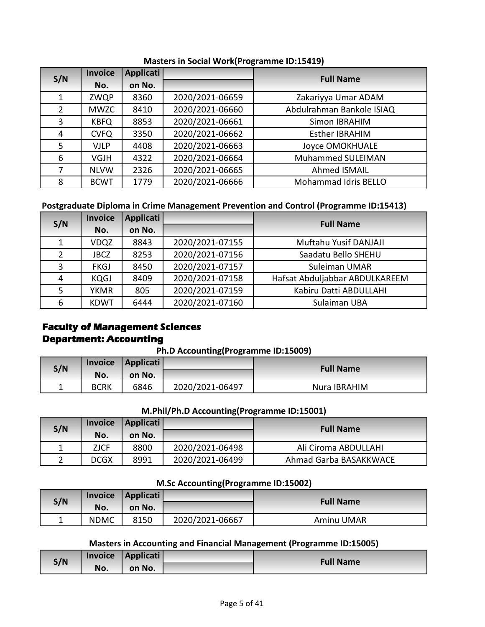|     | <b>Invoice</b> | Applicati |                 | <b>Full Name</b>          |
|-----|----------------|-----------|-----------------|---------------------------|
| S/N | No.            | on No.    |                 |                           |
|     | ZWQP           | 8360      | 2020/2021-06659 | Zakariyya Umar ADAM       |
| 2   | <b>MWZC</b>    | 8410      | 2020/2021-06660 | Abdulrahman Bankole ISIAQ |
| 3   | <b>KBFQ</b>    | 8853      | 2020/2021-06661 | Simon IBRAHIM             |
| 4   | <b>CVFQ</b>    | 3350      | 2020/2021-06662 | <b>Esther IBRAHIM</b>     |
| 5.  | <b>VJLP</b>    | 4408      | 2020/2021-06663 | Joyce OMOKHUALE           |
| 6   | VGJH           | 4322      | 2020/2021-06664 | <b>Muhammed SULEIMAN</b>  |
| 7   | <b>NLVW</b>    | 2326      | 2020/2021-06665 | <b>Ahmed ISMAIL</b>       |
| 8   | <b>BCWT</b>    | 1779      | 2020/2021-06666 | Mohammad Idris BELLO      |

#### **Masters in Social Work(Programme ID:15419)**

### **Postgraduate Diploma in Crime Management Prevention and Control (Programme ID:15413)**

| S/N            | <b>Invoice</b> | <b>Applicati</b> |                 | <b>Full Name</b>               |
|----------------|----------------|------------------|-----------------|--------------------------------|
|                | No.            | on No.           |                 |                                |
| 1              | VDQZ           | 8843             | 2020/2021-07155 | Muftahu Yusif DANJAJI          |
| $\overline{2}$ | <b>JBCZ</b>    | 8253             | 2020/2021-07156 | Saadatu Bello SHEHU            |
| 3              | <b>FKGJ</b>    | 8450             | 2020/2021-07157 | Suleiman UMAR                  |
| 4              | <b>KQGJ</b>    | 8409             | 2020/2021-07158 | Hafsat Abduljabbar ABDULKAREEM |
| 5              | <b>YKMR</b>    | 805              | 2020/2021-07159 | Kabiru Datti ABDULLAHI         |
| 6              | <b>KDWT</b>    | 6444             | 2020/2021-07160 | Sulaiman UBA                   |

### **Faculty of Management Sciences Department: Accounting**

#### **Ph.D Accounting(Programme ID:15009)**

| S/N | <b>Invoice</b> | Applicati |                 | <b>Full Name</b> |
|-----|----------------|-----------|-----------------|------------------|
|     | No.            | on No.    |                 |                  |
|     | <b>BCRK</b>    | 6846      | 2020/2021-06497 | Nura IBRAHIM     |

#### **M.Phil/Ph.D Accounting(Programme ID:15001)**

| S/N | <b>Invoice</b> | Applicati |                 | <b>Full Name</b>       |
|-----|----------------|-----------|-----------------|------------------------|
|     | No.            | on No.    |                 |                        |
|     | ZJCF           | 8800      | 2020/2021-06498 | Ali Ciroma ABDULLAHI   |
|     | <b>DCGX</b>    | 8991      | 2020/2021-06499 | Ahmad Garba BASAKKWACE |

#### **M.Sc Accounting(Programme ID:15002)**

| S/N | <b>Invoice</b> | Applicati |                 | <b>Full Name</b> |
|-----|----------------|-----------|-----------------|------------------|
|     | No.            | on No.    |                 |                  |
| л   | <b>NDMC</b>    | 8150      | 2020/2021-06667 | Aminu UMAR       |

#### **Masters in Accounting and Financial Management (Programme ID:15005)**

| S/N | <b>Invoice</b> | <b>Applicati</b> | <b>Full Name</b> |
|-----|----------------|------------------|------------------|
|     | No.            | on No.           |                  |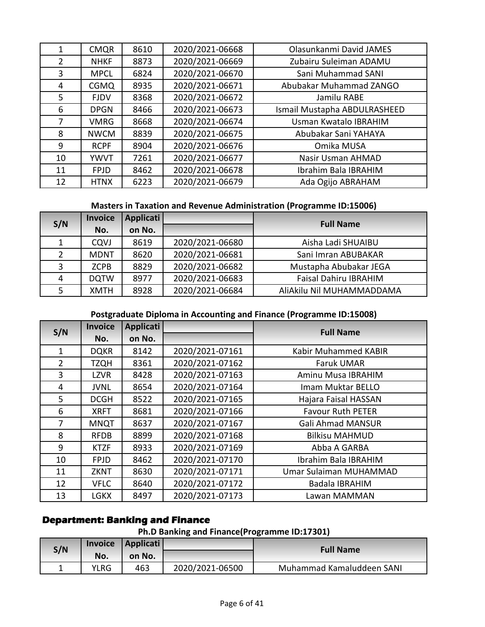| 1              | <b>CMQR</b> | 8610 | 2020/2021-06668 | Olasunkanmi David JAMES      |
|----------------|-------------|------|-----------------|------------------------------|
| $\overline{2}$ | <b>NHKF</b> | 8873 | 2020/2021-06669 | Zubairu Suleiman ADAMU       |
| 3              | <b>MPCL</b> | 6824 | 2020/2021-06670 | Sani Muhammad SANI           |
| 4              | <b>CGMQ</b> | 8935 | 2020/2021-06671 | Abubakar Muhammad ZANGO      |
| 5.             | <b>FJDV</b> | 8368 | 2020/2021-06672 | Jamilu RABE                  |
| 6              | <b>DPGN</b> | 8466 | 2020/2021-06673 | Ismail Mustapha ABDULRASHEED |
| 7              | <b>VMRG</b> | 8668 | 2020/2021-06674 | Usman Kwatalo IBRAHIM        |
| 8              | <b>NWCM</b> | 8839 | 2020/2021-06675 | Abubakar Sani YAHAYA         |
| 9              | <b>RCPF</b> | 8904 | 2020/2021-06676 | Omika MUSA                   |
| 10             | <b>YWVT</b> | 7261 | 2020/2021-06677 | Nasir Usman AHMAD            |
| 11             | <b>FPJD</b> | 8462 | 2020/2021-06678 | Ibrahim Bala IBRAHIM         |
| 12             | <b>HTNX</b> | 6223 | 2020/2021-06679 | Ada Ogijo ABRAHAM            |

### **Masters in Taxation and Revenue Administration (Programme ID:15006)**

| S/N            | <b>Invoice</b> | Applicati |                 | <b>Full Name</b>             |
|----------------|----------------|-----------|-----------------|------------------------------|
|                | No.            | on No.    |                 |                              |
|                | <b>CQVJ</b>    | 8619      | 2020/2021-06680 | Aisha Ladi SHUAIBU           |
| $\overline{2}$ | <b>MDNT</b>    | 8620      | 2020/2021-06681 | Sani Imran ABUBAKAR          |
| 3              | <b>ZCPB</b>    | 8829      | 2020/2021-06682 | Mustapha Abubakar JEGA       |
| 4              | <b>DQTW</b>    | 8977      | 2020/2021-06683 | <b>Faisal Dahiru IBRAHIM</b> |
|                | <b>XMTH</b>    | 8928      | 2020/2021-06684 | AliAkilu Nil MUHAMMADDAMA    |

# **Postgraduate Diploma in Accounting and Finance (Programme ID:15008)**

| S/N            | <b>Invoice</b> | Applicati |                 | <b>Full Name</b>         |
|----------------|----------------|-----------|-----------------|--------------------------|
|                | No.            | on No.    |                 |                          |
| $\mathbf{1}$   | <b>DQKR</b>    | 8142      | 2020/2021-07161 | Kabir Muhammed KABIR     |
| $\overline{2}$ | <b>TZQH</b>    | 8361      | 2020/2021-07162 | <b>Faruk UMAR</b>        |
| 3              | <b>LZVR</b>    | 8428      | 2020/2021-07163 | Aminu Musa IBRAHIM       |
| 4              | <b>JVNL</b>    | 8654      | 2020/2021-07164 | Imam Muktar BELLO        |
| 5              | <b>DCGH</b>    | 8522      | 2020/2021-07165 | Hajara Faisal HASSAN     |
| 6              | <b>XRFT</b>    | 8681      | 2020/2021-07166 | <b>Favour Ruth PETER</b> |
| 7              | <b>MNQT</b>    | 8637      | 2020/2021-07167 | <b>Gali Ahmad MANSUR</b> |
| 8              | <b>RFDB</b>    | 8899      | 2020/2021-07168 | <b>Bilkisu MAHMUD</b>    |
| 9              | <b>KTZF</b>    | 8933      | 2020/2021-07169 | Abba A GARBA             |
| 10             | <b>FPJD</b>    | 8462      | 2020/2021-07170 | Ibrahim Bala IBRAHIM     |
| 11             | <b>ZKNT</b>    | 8630      | 2020/2021-07171 | Umar Sulaiman MUHAMMAD   |
| 12             | <b>VFLC</b>    | 8640      | 2020/2021-07172 | Badala IBRAHIM           |
| 13             | <b>LGKX</b>    | 8497      | 2020/2021-07173 | Lawan MAMMAN             |

# **Department: Banking and Finance**

### **Ph.D Banking and Finance(Programme ID:17301)**

| S/N | <b>Invoice</b> | Applicati |                 | <b>Full Name</b>          |
|-----|----------------|-----------|-----------------|---------------------------|
|     | No.            | on No.    |                 |                           |
|     | YLRG           | 463       | 2020/2021-06500 | Muhammad Kamaluddeen SANI |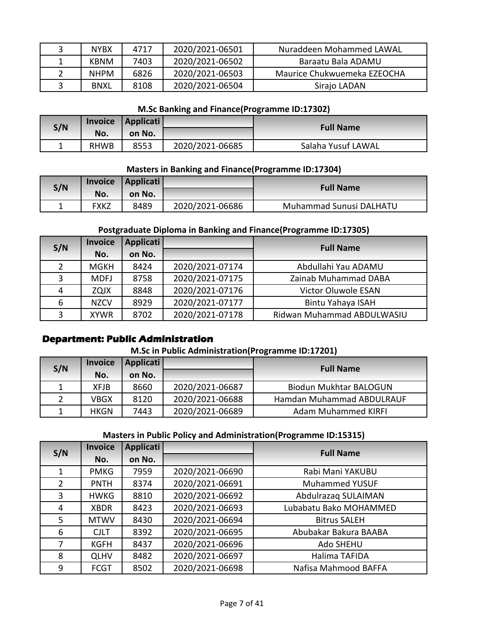| <b>NYBX</b> | 4717 | 2020/2021-06501 | Nuraddeen Mohammed LAWAL    |
|-------------|------|-----------------|-----------------------------|
| <b>KBNM</b> | 7403 | 2020/2021-06502 | Baraatu Bala ADAMU          |
| <b>NHPM</b> | 6826 | 2020/2021-06503 | Maurice Chukwuemeka EZEOCHA |
| <b>BNXL</b> | 8108 | 2020/2021-06504 | Sirajo LADAN                |

#### **M.Sc Banking and Finance(Programme ID:17302)**

| S/N |             | Invoice   Applicati |                 | <b>Full Name</b>   |
|-----|-------------|---------------------|-----------------|--------------------|
|     | No.         | on No.              |                 |                    |
|     | <b>RHWB</b> | 8553                | 2020/2021-06685 | Salaha Yusuf LAWAL |

#### **Masters in Banking and Finance(Programme ID:17304)**

| S/N | <b>Invoice</b> | Applicati |                 | <b>Full Name</b>               |
|-----|----------------|-----------|-----------------|--------------------------------|
|     | No.            | on No.    |                 |                                |
|     | <b>FXKZ</b>    | 8489      | 2020/2021-06686 | <b>Muhammad Sunusi DALHATU</b> |

### **Postgraduate Diploma in Banking and Finance(Programme ID:17305)**

| S/N                   | <b>Invoice</b> | Applicati |                 | <b>Full Name</b>           |
|-----------------------|----------------|-----------|-----------------|----------------------------|
|                       | No.            | on No.    |                 |                            |
| $\mathbf{2}^{\prime}$ | <b>MGKH</b>    | 8424      | 2020/2021-07174 | Abdullahi Yau ADAMU        |
| 3                     | <b>MDFJ</b>    | 8758      | 2020/2021-07175 | Zainab Muhammad DABA       |
| 4                     | <b>ZQJX</b>    | 8848      | 2020/2021-07176 | Victor Oluwole ESAN        |
| 6                     | <b>NZCV</b>    | 8929      | 2020/2021-07177 | Bintu Yahaya ISAH          |
| 3                     | <b>XYWR</b>    | 8702      | 2020/2021-07178 | Ridwan Muhammad ABDULWASIU |

### **Department: Public Administration**

### **M.Sc in Public Administration(Programme ID:17201)**

| S/N | <b>Invoice</b> | Applicati |                 | <b>Full Name</b>              |
|-----|----------------|-----------|-----------------|-------------------------------|
|     | No.            | on No.    |                 |                               |
|     | <b>XFJB</b>    | 8660      | 2020/2021-06687 | <b>Biodun Mukhtar BALOGUN</b> |
|     | <b>VBGX</b>    | 8120      | 2020/2021-06688 | Hamdan Muhammad ABDULRAUF     |
|     | <b>HKGN</b>    | 7443      | 2020/2021-06689 | <b>Adam Muhammed KIRFI</b>    |

#### **Masters in Public Policy and Administration(Programme ID:15315)**

| S/N          | <b>Invoice</b> | <b>Applicati</b> |                 | <b>Full Name</b>       |
|--------------|----------------|------------------|-----------------|------------------------|
|              | No.            | on No.           |                 |                        |
| $\mathbf{1}$ | <b>PMKG</b>    | 7959             | 2020/2021-06690 | Rabi Mani YAKUBU       |
| 2            | <b>PNTH</b>    | 8374             | 2020/2021-06691 | <b>Muhammed YUSUF</b>  |
| 3            | <b>HWKG</b>    | 8810             | 2020/2021-06692 | Abdulrazaq SULAIMAN    |
| 4            | <b>XBDR</b>    | 8423             | 2020/2021-06693 | Lubabatu Bako MOHAMMED |
| 5            | <b>MTWV</b>    | 8430             | 2020/2021-06694 | <b>Bitrus SALEH</b>    |
| 6            | <b>CJLT</b>    | 8392             | 2020/2021-06695 | Abubakar Bakura BAABA  |
|              | <b>KGFH</b>    | 8437             | 2020/2021-06696 | Ado SHEHU              |
| 8            | <b>QLHV</b>    | 8482             | 2020/2021-06697 | Halima TAFIDA          |
| 9            | <b>FCGT</b>    | 8502             | 2020/2021-06698 | Nafisa Mahmood BAFFA   |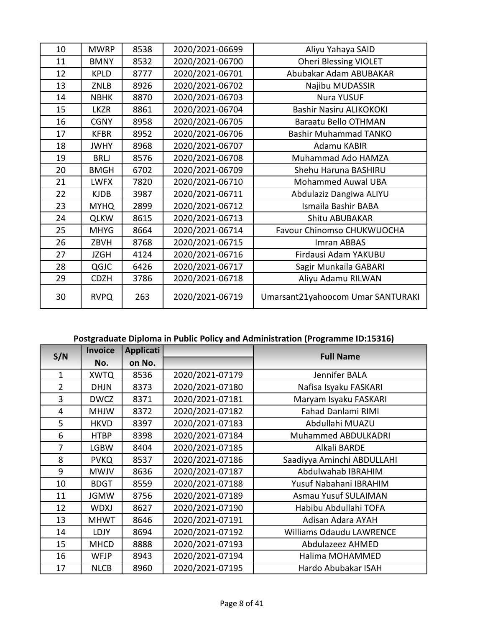| 10 | <b>MWRP</b> | 8538 | 2020/2021-06699 | Aliyu Yahaya SAID                 |
|----|-------------|------|-----------------|-----------------------------------|
| 11 | <b>BMNY</b> | 8532 | 2020/2021-06700 | <b>Oheri Blessing VIOLET</b>      |
| 12 | <b>KPLD</b> | 8777 | 2020/2021-06701 | Abubakar Adam ABUBAKAR            |
| 13 | <b>ZNLB</b> | 8926 | 2020/2021-06702 | Najibu MUDASSIR                   |
| 14 | <b>NBHK</b> | 8870 | 2020/2021-06703 | <b>Nura YUSUF</b>                 |
| 15 | <b>LKZR</b> | 8861 | 2020/2021-06704 | <b>Bashir Nasiru ALIKOKOKI</b>    |
| 16 | <b>CGNY</b> | 8958 | 2020/2021-06705 | Baraatu Bello OTHMAN              |
| 17 | <b>KFBR</b> | 8952 | 2020/2021-06706 | <b>Bashir Muhammad TANKO</b>      |
| 18 | <b>JWHY</b> | 8968 | 2020/2021-06707 | Adamu KABIR                       |
| 19 | <b>BRLJ</b> | 8576 | 2020/2021-06708 | Muhammad Ado HAMZA                |
| 20 | <b>BMGH</b> | 6702 | 2020/2021-06709 | Shehu Haruna BASHIRU              |
| 21 | <b>LWFX</b> | 7820 | 2020/2021-06710 | <b>Mohammed Auwal UBA</b>         |
| 22 | <b>KJDB</b> | 3987 | 2020/2021-06711 | Abdulaziz Dangiwa ALIYU           |
| 23 | <b>MYHQ</b> | 2899 | 2020/2021-06712 | <b>Ismaila Bashir BABA</b>        |
| 24 | <b>QLKW</b> | 8615 | 2020/2021-06713 | Shitu ABUBAKAR                    |
| 25 | <b>MHYG</b> | 8664 | 2020/2021-06714 | Favour Chinomso CHUKWUOCHA        |
| 26 | ZBVH        | 8768 | 2020/2021-06715 | <b>Imran ABBAS</b>                |
| 27 | <b>JZGH</b> | 4124 | 2020/2021-06716 | Firdausi Adam YAKUBU              |
| 28 | QGJC        | 6426 | 2020/2021-06717 | Sagir Munkaila GABARI             |
| 29 | <b>CDZH</b> | 3786 | 2020/2021-06718 | Aliyu Adamu RILWAN                |
| 30 | <b>RVPQ</b> | 263  | 2020/2021-06719 | Umarsant21yahoocom Umar SANTURAKI |

### **Postgraduate Diploma in Public Policy and Administration (Programme ID:15316)**

| S/N            | <b>Invoice</b> | <b>Applicati</b> |                 | <b>Full Name</b>                |
|----------------|----------------|------------------|-----------------|---------------------------------|
|                | No.            | on No.           |                 |                                 |
| $\mathbf{1}$   | <b>XWTQ</b>    | 8536             | 2020/2021-07179 | Jennifer BALA                   |
| $\overline{2}$ | <b>DHJN</b>    | 8373             | 2020/2021-07180 | Nafisa Isyaku FASKARI           |
| 3              | <b>DWCZ</b>    | 8371             | 2020/2021-07181 | Maryam Isyaku FASKARI           |
| 4              | <b>MHJW</b>    | 8372             | 2020/2021-07182 | Fahad Danlami RIMI              |
| 5              | <b>HKVD</b>    | 8397             | 2020/2021-07183 | Abdullahi MUAZU                 |
| 6              | <b>HTBP</b>    | 8398             | 2020/2021-07184 | Muhammed ABDULKADRI             |
| 7              | <b>LGBW</b>    | 8404             | 2020/2021-07185 | Alkali BARDE                    |
| 8              | <b>PVKQ</b>    | 8537             | 2020/2021-07186 | Saadiyya Aminchi ABDULLAHI      |
| 9              | <b>MWJV</b>    | 8636             | 2020/2021-07187 | Abdulwahab IBRAHIM              |
| 10             | <b>BDGT</b>    | 8559             | 2020/2021-07188 | Yusuf Nabahani IBRAHIM          |
| 11             | <b>JGMW</b>    | 8756             | 2020/2021-07189 | <b>Asmau Yusuf SULAIMAN</b>     |
| 12             | <b>WDXJ</b>    | 8627             | 2020/2021-07190 | Habibu Abdullahi TOFA           |
| 13             | <b>MHWT</b>    | 8646             | 2020/2021-07191 | Adisan Adara AYAH               |
| 14             | <b>LDJY</b>    | 8694             | 2020/2021-07192 | <b>Williams Odaudu LAWRENCE</b> |
| 15             | <b>MHCD</b>    | 8888             | 2020/2021-07193 | Abdulazeez AHMED                |
| 16             | <b>WFJP</b>    | 8943             | 2020/2021-07194 | Halima MOHAMMED                 |
| 17             | <b>NLCB</b>    | 8960             | 2020/2021-07195 | Hardo Abubakar ISAH             |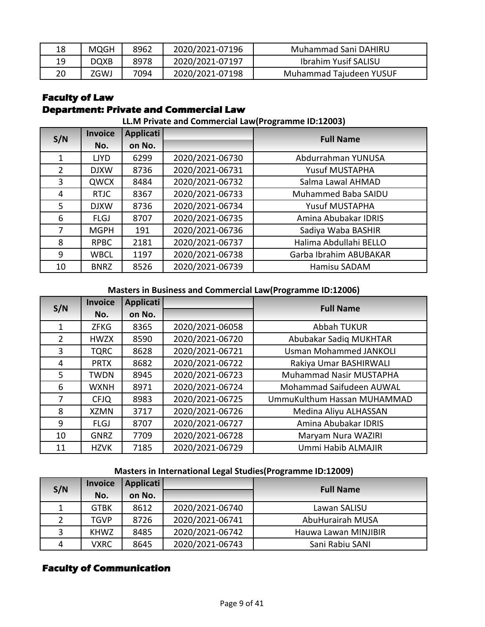| 18 | MQGH        | 8962 | 2020/2021-07196 | Muhammad Sani DAHIRU        |
|----|-------------|------|-----------------|-----------------------------|
| 19 | <b>DQXB</b> | 8978 | 2020/2021-07197 | <b>Ibrahim Yusif SALISU</b> |
| 20 | ZGWJ        | 7094 | 2020/2021-07198 | Muhammad Tajudeen YUSUF     |

### **Faculty of Law**

### **Department: Private and Commercial Law**

#### **LL.M Private and Commercial Law(Programme ID:12003)**

|                | <b>Applicati</b><br><b>Invoice</b><br>S/N |        | <b>Full Name</b> |                        |
|----------------|-------------------------------------------|--------|------------------|------------------------|
|                | No.                                       | on No. |                  |                        |
| 1              | <b>LIYD</b>                               | 6299   | 2020/2021-06730  | Abdurrahman YUNUSA     |
| 2              | <b>DJXW</b>                               | 8736   | 2020/2021-06731  | Yusuf MUSTAPHA         |
| 3              | QWCX                                      | 8484   | 2020/2021-06732  | Salma Lawal AHMAD      |
| 4              | <b>RTJC</b>                               | 8367   | 2020/2021-06733  | Muhammed Baba SAIDU    |
| 5.             | <b>DJXW</b>                               | 8736   | 2020/2021-06734  | Yusuf MUSTAPHA         |
| 6              | <b>FLGJ</b>                               | 8707   | 2020/2021-06735  | Amina Abubakar IDRIS   |
| $\overline{7}$ | <b>MGPH</b>                               | 191    | 2020/2021-06736  | Sadiya Waba BASHIR     |
| 8              | <b>RPBC</b>                               | 2181   | 2020/2021-06737  | Halima Abdullahi BELLO |
| 9              | <b>WBCL</b>                               | 1197   | 2020/2021-06738  | Garba Ibrahim ABUBAKAR |
| 10             | <b>BNRZ</b>                               | 8526   | 2020/2021-06739  | Hamisu SADAM           |

**Masters in Business and Commercial Law(Programme ID:12006)**

| S/N            | <b>Invoice</b> | Applicati |                 | <b>Full Name</b>               |
|----------------|----------------|-----------|-----------------|--------------------------------|
|                | No.            | on No.    |                 |                                |
| 1              | <b>ZFKG</b>    | 8365      | 2020/2021-06058 | <b>Abbah TUKUR</b>             |
| $\overline{2}$ | <b>HWZX</b>    | 8590      | 2020/2021-06720 | Abubakar Sadiq MUKHTAR         |
| 3              | <b>TQRC</b>    | 8628      | 2020/2021-06721 | <b>Usman Mohammed JANKOLI</b>  |
| 4              | <b>PRTX</b>    | 8682      | 2020/2021-06722 | Rakiya Umar BASHIRWALI         |
| 5              | <b>TWDN</b>    | 8945      | 2020/2021-06723 | <b>Muhammad Nasir MUSTAPHA</b> |
| 6              | <b>WXNH</b>    | 8971      | 2020/2021-06724 | Mohammad Saifudeen AUWAL       |
| 7              | <b>CFJQ</b>    | 8983      | 2020/2021-06725 | UmmuKulthum Hassan MUHAMMAD    |
| 8              | <b>XZMN</b>    | 3717      | 2020/2021-06726 | Medina Aliyu ALHASSAN          |
| 9              | <b>FLGJ</b>    | 8707      | 2020/2021-06727 | Amina Abubakar IDRIS           |
| 10             | <b>GNRZ</b>    | 7709      | 2020/2021-06728 | Maryam Nura WAZIRI             |
| 11             | <b>HZVK</b>    | 7185      | 2020/2021-06729 | Ummi Habib ALMAJIR             |

### **Masters in International Legal Studies(Programme ID:12009)**

| S/N          | <b>Invoice</b> | Applicati |                 | <b>Full Name</b>        |
|--------------|----------------|-----------|-----------------|-------------------------|
|              | No.            | on No.    |                 |                         |
| $\mathbf{1}$ | GTBK           | 8612      | 2020/2021-06740 | Lawan SALISU            |
|              | TGVP           | 8726      | 2020/2021-06741 | <b>AbuHurairah MUSA</b> |
| $\mathbf{3}$ | <b>KHWZ</b>    | 8485      | 2020/2021-06742 | Hauwa Lawan MINJIBIR    |
| 4            | <b>VXRC</b>    | 8645      | 2020/2021-06743 | Sani Rabiu SANI         |

### **Faculty of Communication**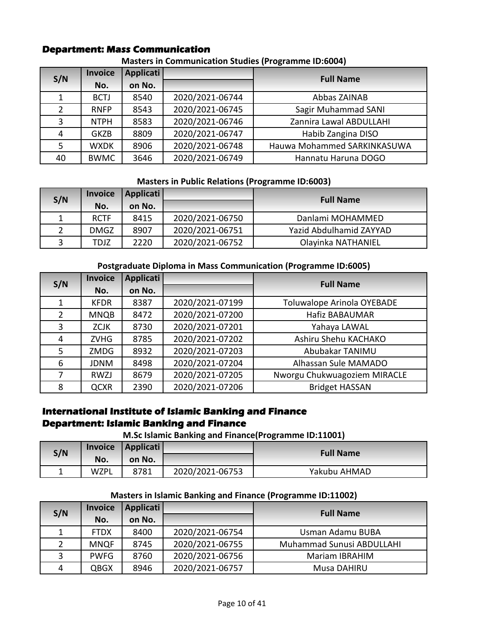### **Department: Mass Communication**

| S/N           | <b>Invoice</b> | Applicati |                 | <b>Full Name</b>            |
|---------------|----------------|-----------|-----------------|-----------------------------|
|               | No.            | on No.    |                 |                             |
|               | <b>BCTJ</b>    | 8540      | 2020/2021-06744 | Abbas ZAINAB                |
| $\mathcal{P}$ | <b>RNFP</b>    | 8543      | 2020/2021-06745 | Sagir Muhammad SANI         |
| 3             | <b>NTPH</b>    | 8583      | 2020/2021-06746 | Zannira Lawal ABDULLAHI     |
| 4             | <b>GKZB</b>    | 8809      | 2020/2021-06747 | Habib Zangina DISO          |
| 5             | <b>WXDK</b>    | 8906      | 2020/2021-06748 | Hauwa Mohammed SARKINKASUWA |
| 40            | <b>BWMC</b>    | 3646      | 2020/2021-06749 | Hannatu Haruna DOGO         |

#### **Masters in Communication Studies (Programme ID:6004)**

#### **Masters in Public Relations (Programme ID:6003)**

| S/N | <b>Invoice</b> | Applicati |                 | <b>Full Name</b>        |
|-----|----------------|-----------|-----------------|-------------------------|
|     | No.            | on No.    |                 |                         |
|     | <b>RCTF</b>    | 8415      | 2020/2021-06750 | Danlami MOHAMMED        |
|     | <b>DMGZ</b>    | 8907      | 2020/2021-06751 | Yazid Abdulhamid ZAYYAD |
|     | TDJZ           | 2220      | 2020/2021-06752 | Olayinka NATHANIEL      |

#### **Postgraduate Diploma in Mass Communication (Programme ID:6005)**

| S/N            | <b>Invoice</b> | Applicati |                 | <b>Full Name</b>             |
|----------------|----------------|-----------|-----------------|------------------------------|
|                | No.            | on No.    |                 |                              |
|                | <b>KFDR</b>    | 8387      | 2020/2021-07199 | Toluwalope Arinola OYEBADE   |
| $\overline{2}$ | <b>MNQB</b>    | 8472      | 2020/2021-07200 | Hafiz BABAUMAR               |
| 3              | <b>ZCJK</b>    | 8730      | 2020/2021-07201 | Yahaya LAWAL                 |
| 4              | <b>ZVHG</b>    | 8785      | 2020/2021-07202 | Ashiru Shehu KACHAKO         |
| 5              | ZMDG           | 8932      | 2020/2021-07203 | Abubakar TANIMU              |
| 6              | <b>JDNM</b>    | 8498      | 2020/2021-07204 | Alhassan Sule MAMADO         |
| 7              | RWZJ           | 8679      | 2020/2021-07205 | Nworgu Chukwuagoziem MIRACLE |
| 8              | <b>QCXR</b>    | 2390      | 2020/2021-07206 | <b>Bridget HASSAN</b>        |

### **International Institute of Islamic Banking and Finance Department: Islamic Banking and Finance**

**M.Sc Islamic Banking and Finance(Programme ID:11001)**

| S/N |             | Invoice   Applicati |                 | <b>Full Name</b> |
|-----|-------------|---------------------|-----------------|------------------|
|     | No.         | on No.              |                 |                  |
|     | <b>WZPL</b> | 8781                | 2020/2021-06753 | Yakubu AHMAD     |

### **Masters in Islamic Banking and Finance (Programme ID:11002)**

| S/N            | <b>Invoice</b> | Applicati |                 | <b>Full Name</b>          |
|----------------|----------------|-----------|-----------------|---------------------------|
|                | No.            | on No.    |                 |                           |
| $\mathbf{1}$   | <b>FTDX</b>    | 8400      | 2020/2021-06754 | Usman Adamu BUBA          |
|                | <b>MNQF</b>    | 8745      | 2020/2021-06755 | Muhammad Sunusi ABDULLAHI |
| $\overline{3}$ | <b>PWFG</b>    | 8760      | 2020/2021-06756 | <b>Mariam IBRAHIM</b>     |
| 4              | QBGX           | 8946      | 2020/2021-06757 | Musa DAHIRU               |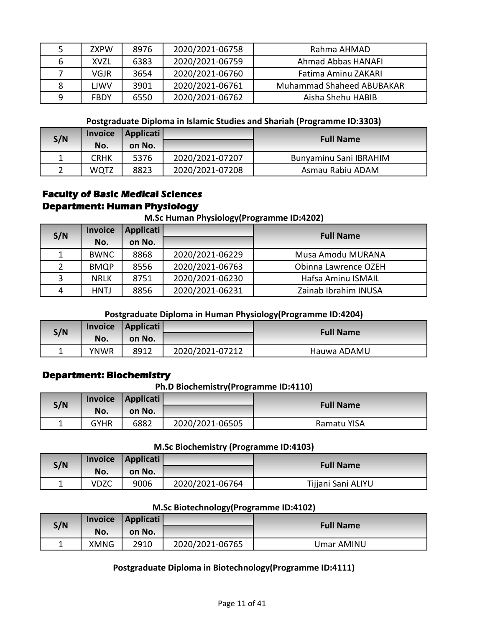|   | <b>ZXPW</b> | 8976 | 2020/2021-06758 | Rahma AHMAD                      |
|---|-------------|------|-----------------|----------------------------------|
| 6 | <b>XVZL</b> | 6383 | 2020/2021-06759 | <b>Ahmad Abbas HANAFI</b>        |
|   | VGJR        | 3654 | 2020/2021-06760 | Fatima Aminu ZAKARI              |
|   | LIWV        | 3901 | 2020/2021-06761 | <b>Muhammad Shaheed ABUBAKAR</b> |
| q | <b>FBDY</b> | 6550 | 2020/2021-06762 | Aisha Shehu HABIB                |

#### **Postgraduate Diploma in Islamic Studies and Shariah (Programme ID:3303)**

| S/N |             | Invoice   Applicati |                 | <b>Full Name</b>       |
|-----|-------------|---------------------|-----------------|------------------------|
|     | No.         | on No.              |                 |                        |
|     | <b>CRHK</b> | 5376                | 2020/2021-07207 | Bunyaminu Sani IBRAHIM |
|     | <b>WQTZ</b> | 8823                | 2020/2021-07208 | Asmau Rabiu ADAM       |

### **Faculty of Basic Medical Sciences Department: Human Physiology**

#### **M.Sc Human Physiology(Programme ID:4202)**

| S/N | <b>Invoice</b> | Applicati |                 | <b>Full Name</b>     |
|-----|----------------|-----------|-----------------|----------------------|
|     | No.            | on No.    |                 |                      |
|     | <b>BWNC</b>    | 8868      | 2020/2021-06229 | Musa Amodu MURANA    |
|     | <b>BMQP</b>    | 8556      | 2020/2021-06763 | Obinna Lawrence OZEH |
| 3   | <b>NRLK</b>    | 8751      | 2020/2021-06230 | Hafsa Aminu ISMAIL   |
| 4   | <b>HNTJ</b>    | 8856      | 2020/2021-06231 | Zainab Ibrahim INUSA |

### **Postgraduate Diploma in Human Physiology(Programme ID:4204)**

| S/N | <b>Invoice</b> | Applicati |                 | <b>Full Name</b> |
|-----|----------------|-----------|-----------------|------------------|
|     | No.            | on No.    |                 |                  |
|     | <b>YNWR</b>    | 8912      | 2020/2021-07212 | Hauwa ADAMU      |

### **Department: Biochemistry**

**Ph.D Biochemistry(Programme ID:4110)**

| S/N | <b>Invoice</b> | Applicati |                 |                  |
|-----|----------------|-----------|-----------------|------------------|
|     | No.            | on No.    |                 | <b>Full Name</b> |
| -   | <b>GYHR</b>    | 6882      | 2020/2021-06505 | Ramatu YISA      |

**M.Sc Biochemistry (Programme ID:4103)**

| S/N | <b>Invoice</b> | Applicati |                 | <b>Full Name</b>   |
|-----|----------------|-----------|-----------------|--------------------|
|     | No.            | on No.    |                 |                    |
|     | VDZC           | 9006      | 2020/2021-06764 | Tijjani Sani ALIYU |

### **M.Sc Biotechnology(Programme ID:4102)**

| S/N | Invoice | Applicati |                 | <b>Full Name</b> |
|-----|---------|-----------|-----------------|------------------|
|     | No.     | on No.    |                 |                  |
|     | XMNG    | 2910      | 2020/2021-06765 | Umar AMINU       |

#### **Postgraduate Diploma in Biotechnology(Programme ID:4111)**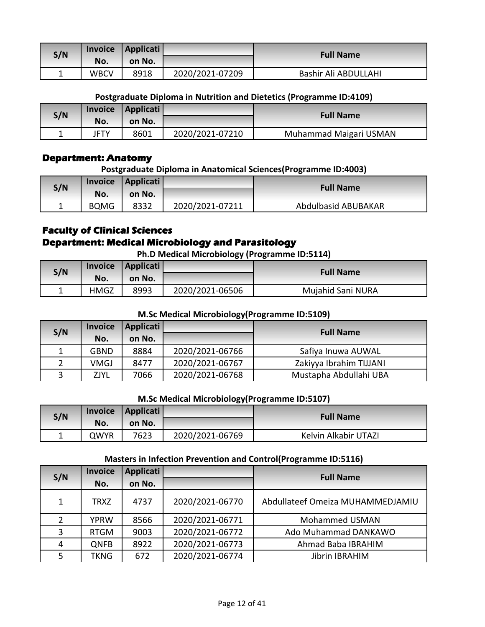| S/N | <b>Invoice</b> | Applicati |                 | <b>Full Name</b>     |
|-----|----------------|-----------|-----------------|----------------------|
|     | No.            | on No.    |                 |                      |
| ∸   | WBCV           | 8918      | 2020/2021-07209 | Bashir Ali ABDULLAHI |

#### **Postgraduate Diploma in Nutrition and Dietetics (Programme ID:4109)**

| S/N |             | Invoice   Applicati |                 | <b>Full Name</b>       |
|-----|-------------|---------------------|-----------------|------------------------|
|     | No.         | on No.              |                 |                        |
|     | <b>JFTY</b> | 8601                | 2020/2021-07210 | Muhammad Maigari USMAN |

#### **Department: Anatomy**

**Postgraduate Diploma in Anatomical Sciences(Programme ID:4003)**

| S/N | <b>Invoice</b> | Applicati |                 | <b>Full Name</b>           |
|-----|----------------|-----------|-----------------|----------------------------|
|     | No.            | on No.    |                 |                            |
|     | <b>BQMG</b>    | 8332      | 2020/2021-07211 | <b>Abdulbasid ABUBAKAR</b> |

### **Faculty of Clinical Sciences Department: Medical Microbiology and Parasitology**

**Ph.D Medical Microbiology (Programme ID:5114)**

| S/N | <b>Invoice</b> | Applicati |                 | <b>Full Name</b>         |
|-----|----------------|-----------|-----------------|--------------------------|
|     | No.            | on No.    |                 |                          |
|     | <b>HMGZ</b>    | 8993      | 2020/2021-06506 | <b>Mujahid Sani NURA</b> |

#### **M.Sc Medical Microbiology(Programme ID:5109)**

| S/N | <b>Invoice</b> | Applicati |                 | <b>Full Name</b>        |
|-----|----------------|-----------|-----------------|-------------------------|
|     | No.            | on No.    |                 |                         |
|     | <b>GBND</b>    | 8884      | 2020/2021-06766 | Safiya Inuwa AUWAL      |
|     | VMGJ           | 8477      | 2020/2021-06767 | Zakiyya Ibrahim TIJJANI |
|     | ZJYL           | 7066      | 2020/2021-06768 | Mustapha Abdullahi UBA  |

#### **M.Sc Medical Microbiology(Programme ID:5107)**

| S/N |             | Invoice   Applicati |                 | <b>Full Name</b>     |
|-----|-------------|---------------------|-----------------|----------------------|
|     | No.         | on No.              |                 |                      |
|     | <b>QWYR</b> | 7623                | 2020/2021-06769 | Kelvin Alkabir UTAZI |

#### **Masters in Infection Prevention and Control(Programme ID:5116)**

| S/N            | <b>Invoice</b> | <b>Applicati</b> |                 | <b>Full Name</b>                 |
|----------------|----------------|------------------|-----------------|----------------------------------|
|                | No.            | on No.           |                 |                                  |
| $\mathbf{1}$   | <b>TRXZ</b>    | 4737             | 2020/2021-06770 | Abdullateef Omeiza MUHAMMEDJAMIU |
| $\overline{2}$ | <b>YPRW</b>    | 8566             | 2020/2021-06771 | <b>Mohammed USMAN</b>            |
| 3              | <b>RTGM</b>    | 9003             | 2020/2021-06772 | Ado Muhammad DANKAWO             |
| 4              | QNFB           | 8922             | 2020/2021-06773 | Ahmad Baba IBRAHIM               |
|                | <b>TKNG</b>    | 672              | 2020/2021-06774 | Jibrin IBRAHIM                   |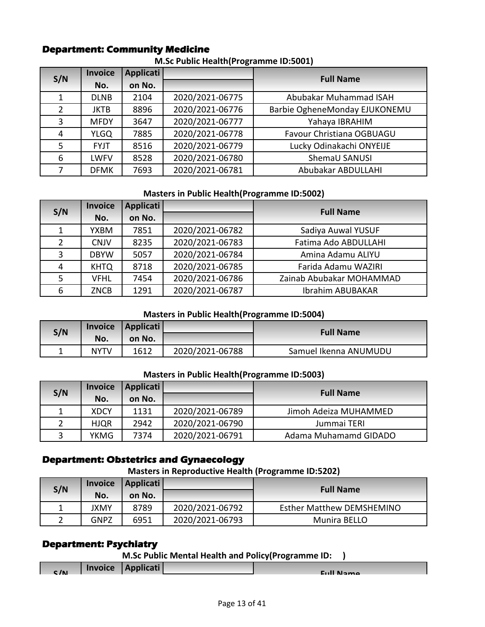### **Department: Community Medicine**

| S/N            | <b>Invoice</b> | Applicati |                 |                               |
|----------------|----------------|-----------|-----------------|-------------------------------|
|                | No.            | on No.    |                 | <b>Full Name</b>              |
|                | <b>DLNB</b>    | 2104      | 2020/2021-06775 | Abubakar Muhammad ISAH        |
| $\overline{2}$ | <b>JKTB</b>    | 8896      | 2020/2021-06776 | Barbie OgheneMonday EJUKONEMU |
| 3              | <b>MFDY</b>    | 3647      | 2020/2021-06777 | Yahaya IBRAHIM                |
| 4              | <b>YLGQ</b>    | 7885      | 2020/2021-06778 | Favour Christiana OGBUAGU     |
| 5              | <b>FYJT</b>    | 8516      | 2020/2021-06779 | Lucky Odinakachi ONYEIJE      |
| 6              | <b>LWFV</b>    | 8528      | 2020/2021-06780 | ShemaU SANUSI                 |
|                | <b>DFMK</b>    | 7693      | 2020/2021-06781 | Abubakar ABDULLAHI            |

#### **M.Sc Public Health(Programme ID:5001)**

#### **Masters in Public Health(Programme ID:5002)**

| S/N            | <b>Invoice</b> | <b>Applicati</b> |                 | <b>Full Name</b>         |
|----------------|----------------|------------------|-----------------|--------------------------|
|                | No.            | on No.           |                 |                          |
| $\mathbf{1}$   | <b>YXBM</b>    | 7851             | 2020/2021-06782 | Sadiya Auwal YUSUF       |
| $\overline{2}$ | <b>CNJV</b>    | 8235             | 2020/2021-06783 | Fatima Ado ABDULLAHI     |
| 3              | <b>DBYW</b>    | 5057             | 2020/2021-06784 | Amina Adamu ALIYU        |
| 4              | <b>KHTQ</b>    | 8718             | 2020/2021-06785 | Farida Adamu WAZIRI      |
| 5              | VFHL           | 7454             | 2020/2021-06786 | Zainab Abubakar MOHAMMAD |
| 6              | <b>ZNCB</b>    | 1291             | 2020/2021-06787 | Ibrahim ABUBAKAR         |

#### **Masters in Public Health(Programme ID:5004)**

| S/N | <b>Invoice</b> | Applicati |                 |                       |
|-----|----------------|-----------|-----------------|-----------------------|
|     | No.            | on No.    |                 | <b>Full Name</b>      |
|     | <b>NYTV</b>    | 1612      | 2020/2021-06788 | Samuel Ikenna ANUMUDU |

#### **Masters in Public Health(Programme ID:5003)**

| S/N | <b>Invoice</b> | Applicati |                 | <b>Full Name</b>      |
|-----|----------------|-----------|-----------------|-----------------------|
|     | No.            | on No.    |                 |                       |
|     | <b>XDCY</b>    | 1131      | 2020/2021-06789 | Jimoh Adeiza MUHAMMED |
|     | <b>HJQR</b>    | 2942      | 2020/2021-06790 | Jummai TERI           |
|     | <b>YKMG</b>    | 7374      | 2020/2021-06791 | Adama Muhamamd GIDADO |

### **Department: Obstetrics and Gynaecology**

**Masters in Reproductive Health (Programme ID:5202)**

| S/N | <b>Invoice</b> | Applicati |                 | <b>Full Name</b>                 |
|-----|----------------|-----------|-----------------|----------------------------------|
|     | No.            | on No.    |                 |                                  |
|     | JXMY           | 8789      | 2020/2021-06792 | <b>Esther Matthew DEMSHEMINO</b> |
|     | <b>GNPZ</b>    | 6951      | 2020/2021-06793 | Munira BELLO                     |

### **Department: Psychiatry**

**M.Sc Public Mental Health and Policy(Programme ID: )**

| C/N | <b>Invoice</b> | Applicati | <b>Coll</b><br><b>Nomo</b> |
|-----|----------------|-----------|----------------------------|
|     |                |           |                            |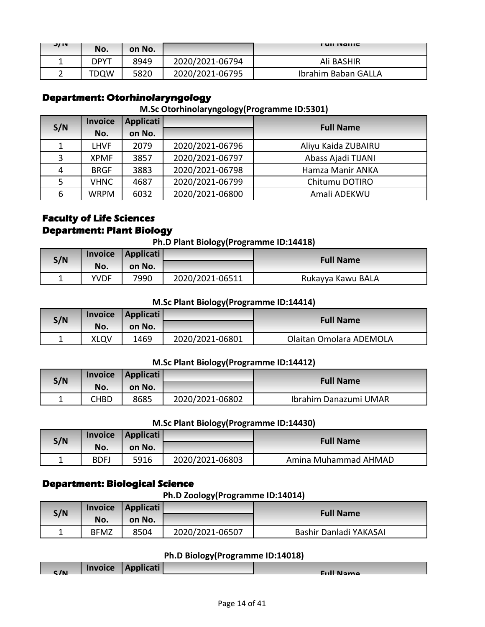| <b>J/IV</b> | No.  | on No. |                 | <b>FUILIVALLIC</b>  |
|-------------|------|--------|-----------------|---------------------|
|             | DPYT | 8949   | 2020/2021-06794 | Ali BASHIR          |
|             | TDQW | 5820   | 2020/2021-06795 | Ibrahim Baban GALLA |

### **Department: Otorhinolaryngology**

#### **M.Sc Otorhinolaryngology(Programme ID:5301)**

| S/N | <b>Invoice</b> | Applicati |                 | <b>Full Name</b>    |
|-----|----------------|-----------|-----------------|---------------------|
|     | No.            | on No.    |                 |                     |
|     | <b>LHVF</b>    | 2079      | 2020/2021-06796 | Aliyu Kaida ZUBAIRU |
| 3   | <b>XPMF</b>    | 3857      | 2020/2021-06797 | Abass Ajadi TIJANI  |
| 4   | <b>BRGF</b>    | 3883      | 2020/2021-06798 | Hamza Manir ANKA    |
| 5   | <b>VHNC</b>    | 4687      | 2020/2021-06799 | Chitumu DOTIRO      |
| 6   | <b>WRPM</b>    | 6032      | 2020/2021-06800 | Amali ADEKWU        |

### **Faculty of Life Sciences Department: Plant Biology**

#### **Ph.D Plant Biology(Programme ID:14418)**

| S/N |             | Invoice   Applicati |                 |                   |
|-----|-------------|---------------------|-----------------|-------------------|
|     | No.         | on No.              |                 | <b>Full Name</b>  |
|     | <b>YVDF</b> | 7990                | 2020/2021-06511 | Rukayya Kawu BALA |

#### **M.Sc Plant Biology(Programme ID:14414)**

| S/N | <b>Invoice</b> | <b>Applicati</b> |                 | <b>Full Name</b>        |
|-----|----------------|------------------|-----------------|-------------------------|
|     | No.            | on No.           |                 |                         |
|     | XLQV           | 1469             | 2020/2021-06801 | Olaitan Omolara ADEMOLA |

#### **M.Sc Plant Biology(Programme ID:14412)**

| S/N | <b>Invoice</b> | Applicati |                 | <b>Full Name</b>      |
|-----|----------------|-----------|-----------------|-----------------------|
|     | No.            | on No.    |                 |                       |
|     | CHBD           | 8685      | 2020/2021-06802 | Ibrahim Danazumi UMAR |

#### **M.Sc Plant Biology(Programme ID:14430)**

| S/N | <b>Invoice</b> | Applicati |                 | <b>Full Name</b>     |
|-----|----------------|-----------|-----------------|----------------------|
|     | No.            | on No.    |                 |                      |
|     | <b>BDFJ</b>    | 5916      | 2020/2021-06803 | Amina Muhammad AHMAD |

#### **Department: Biological Science**

#### **Ph.D Zoology(Programme ID:14014)**

| S/N | <b>Invoice</b> | Applicati |                 |                        |
|-----|----------------|-----------|-----------------|------------------------|
|     | No.            | on No.    |                 | <b>Full Name</b>       |
|     | <b>BFMZ</b>    | 8504      | 2020/2021-06507 | Bashir Danladi YAKASAI |

### **Ph.D Biology(Programme ID:14018)**

| C/N | Invoice   Applicati | <b>Euli Name</b> |
|-----|---------------------|------------------|
|     |                     |                  |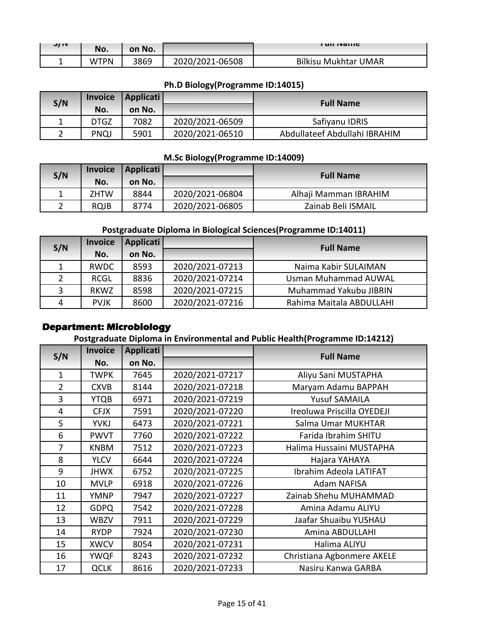|             |      |        |                 | <b>FUILIVAILLE</b>          |
|-------------|------|--------|-----------------|-----------------------------|
| <b>J/IV</b> | No.  | on No. |                 |                             |
|             | WTPN | 3869   | 2020/2021-06508 | <b>Bilkisu Mukhtar UMAR</b> |

### **Ph.D Biology(Programme ID:14015)**

| S/N | <b>Invoice</b> | Applicati |                 | <b>Full Name</b>              |
|-----|----------------|-----------|-----------------|-------------------------------|
|     | No.            | on No.    |                 |                               |
|     | DTGZ           | 7082      | 2020/2021-06509 | Safiyanu IDRIS                |
|     | <b>PNQJ</b>    | 5901      | 2020/2021-06510 | Abdullateef Abdullahi IBRAHIM |

#### **M.Sc Biology(Programme ID:14009)**

| S/N | <b>Invoice</b> | <b>Applicati</b> |                 | <b>Full Name</b>      |
|-----|----------------|------------------|-----------------|-----------------------|
|     | No.            | on No.           |                 |                       |
|     | <b>ZHTW</b>    | 8844             | 2020/2021-06804 | Alhaji Mamman IBRAHIM |
|     | <b>RQJB</b>    | 8774             | 2020/2021-06805 | Zainab Beli ISMAIL    |

### **Postgraduate Diploma in Biological Sciences(Programme ID:14011)**

| S/N           | <b>Invoice</b> | Applicati |                 | <b>Full Name</b>            |
|---------------|----------------|-----------|-----------------|-----------------------------|
|               | No.            | on No.    |                 |                             |
| $\mathbf{1}$  | RWDC           | 8593      | 2020/2021-07213 | Naima Kabir SULAIMAN        |
| $\mathcal{P}$ | <b>RCGL</b>    | 8836      | 2020/2021-07214 | <b>Usman Muhammad AUWAL</b> |
| 3             | <b>RKWZ</b>    | 8598      | 2020/2021-07215 | Muhammad Yakubu JIBRIN      |
| 4             | <b>PVJK</b>    | 8600      | 2020/2021-07216 | Rahima Maitala ABDULLAHI    |

#### **Department: Microbiology**

**Postgraduate Diploma in Environmental and Public Health(Programme ID:14212)**

| S/N            | <b>Invoice</b> | <b>Applicati</b> |                 | <b>Full Name</b>           |
|----------------|----------------|------------------|-----------------|----------------------------|
|                | No.            | on No.           |                 |                            |
| $\mathbf{1}$   | <b>TWPK</b>    | 7645             | 2020/2021-07217 | Aliyu Sani MUSTAPHA        |
| $\overline{2}$ | <b>CXVB</b>    | 8144             | 2020/2021-07218 | Maryam Adamu BAPPAH        |
| 3              | <b>YTQB</b>    | 6971             | 2020/2021-07219 | <b>Yusuf SAMAILA</b>       |
| 4              | <b>CFJX</b>    | 7591             | 2020/2021-07220 | Ireoluwa Priscilla OYEDEJI |
| 5              | <b>YVKJ</b>    | 6473             | 2020/2021-07221 | Salma Umar MUKHTAR         |
| 6              | <b>PWVT</b>    | 7760             | 2020/2021-07222 | Farida Ibrahim SHITU       |
| 7              | <b>KNBM</b>    | 7512             | 2020/2021-07223 | Halima Hussaini MUSTAPHA   |
| 8              | <b>YLCV</b>    | 6644             | 2020/2021-07224 | Hajara YAHAYA              |
| 9              | <b>JHWX</b>    | 6752             | 2020/2021-07225 | Ibrahim Adeola LATIFAT     |
| 10             | <b>MVLP</b>    | 6918             | 2020/2021-07226 | <b>Adam NAFISA</b>         |
| 11             | <b>YMNP</b>    | 7947             | 2020/2021-07227 | Zainab Shehu MUHAMMAD      |
| 12             | <b>GDPQ</b>    | 7542             | 2020/2021-07228 | Amina Adamu ALIYU          |
| 13             | <b>WBZV</b>    | 7911             | 2020/2021-07229 | Jaafar Shuaibu YUSHAU      |
| 14             | <b>RYDP</b>    | 7924             | 2020/2021-07230 | Amina ABDULLAHI            |
| 15             | <b>XWCV</b>    | 8054             | 2020/2021-07231 | Halima ALIYU               |
| 16             | <b>YWQF</b>    | 8243             | 2020/2021-07232 | Christiana Agbonmere AKELE |
| 17             | <b>QCLK</b>    | 8616             | 2020/2021-07233 | Nasiru Kanwa GARBA         |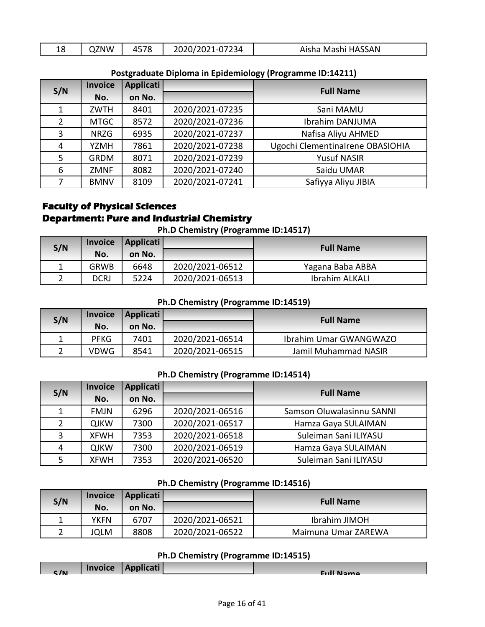| 18 | ZNW | 1 F 7 O<br>∕ ∟<br><b>TUIC</b> | $\sim$ $\sim$ $\sim$ $\sim$<br>11.<br>.234<br>20201 | Mashi HASSAN<br>.<br>AISHd |
|----|-----|-------------------------------|-----------------------------------------------------|----------------------------|

| S/N | <b>Invoice</b> | <b>Applicati</b> |                 | <b>Full Name</b>                 |
|-----|----------------|------------------|-----------------|----------------------------------|
|     | No.            | on No.           |                 |                                  |
|     | ZWTH           | 8401             | 2020/2021-07235 | Sani MAMU                        |
|     | <b>MTGC</b>    | 8572             | 2020/2021-07236 | Ibrahim DANJUMA                  |
| 3   | <b>NRZG</b>    | 6935             | 2020/2021-07237 | Nafisa Aliyu AHMED               |
| 4   | YZMH           | 7861             | 2020/2021-07238 | Ugochi Clementinalrene OBASIOHIA |
| 5   | <b>GRDM</b>    | 8071             | 2020/2021-07239 | <b>Yusuf NASIR</b>               |
| 6   | ZMNF           | 8082             | 2020/2021-07240 | Saidu UMAR                       |
|     | <b>BMNV</b>    | 8109             | 2020/2021-07241 | Safiyya Aliyu JIBIA              |

### **Postgraduate Diploma in Epidemiology (Programme ID:14211)**

### **Faculty of Physical Sciences Department: Pure and Industrial Chemistry**

**Ph.D Chemistry (Programme ID:14517)**

| S/N | <b>Invoice</b> | Applicati |                 | <b>Full Name</b>      |
|-----|----------------|-----------|-----------------|-----------------------|
|     | No.            | on No.    |                 |                       |
|     | <b>GRWB</b>    | 6648      | 2020/2021-06512 | Yagana Baba ABBA      |
|     | DCRJ           | 5224      | 2020/2021-06513 | <b>Ibrahim ALKALI</b> |

### **Ph.D Chemistry (Programme ID:14519)**

| S/N | <b>Invoice</b> | Applicati |                 | <b>Full Name</b>       |
|-----|----------------|-----------|-----------------|------------------------|
|     | No.            | on No.    |                 |                        |
|     | PFKG           | 7401      | 2020/2021-06514 | Ibrahim Umar GWANGWAZO |
|     | VDWG           | 8541      | 2020/2021-06515 | Jamil Muhammad NASIR   |

#### **Ph.D Chemistry (Programme ID:14514)**

| S/N            | <b>Invoice</b> | Applicati |                 | <b>Full Name</b>          |
|----------------|----------------|-----------|-----------------|---------------------------|
|                | No.            | on No.    |                 |                           |
|                | <b>FMJN</b>    | 6296      | 2020/2021-06516 | Samson Oluwalasinnu SANNI |
| $\overline{2}$ | <b>QJKW</b>    | 7300      | 2020/2021-06517 | Hamza Gaya SULAIMAN       |
| $\overline{3}$ | <b>XFWH</b>    | 7353      | 2020/2021-06518 | Suleiman Sani ILIYASU     |
| 4              | <b>QJKW</b>    | 7300      | 2020/2021-06519 | Hamza Gaya SULAIMAN       |
|                | <b>XFWH</b>    | 7353      | 2020/2021-06520 | Suleiman Sani ILIYASU     |

#### **Ph.D Chemistry (Programme ID:14516)**

| S/N | <b>Invoice</b> | Applicati |                 | <b>Full Name</b>     |
|-----|----------------|-----------|-----------------|----------------------|
|     | No.            | on No.    |                 |                      |
|     | YKFN           | 6707      | 2020/2021-06521 | <b>Ibrahim JIMOH</b> |
|     | <b>JQLM</b>    | 8808      | 2020/2021-06522 | Maimuna Umar ZAREWA  |

### **Ph.D Chemistry (Programme ID:14515)**

|     |                |                  | _____ |                  |  |
|-----|----------------|------------------|-------|------------------|--|
| C/N | <b>Invoice</b> | <b>Applicati</b> |       | <b>Sull Name</b> |  |
|     |                |                  |       |                  |  |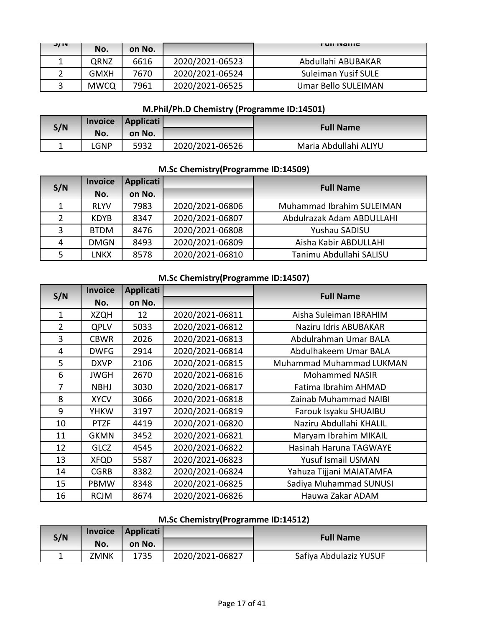| <b>J/IV</b> | No.         | on No. |                 | <b>FUILIVALLIC</b>         |
|-------------|-------------|--------|-----------------|----------------------------|
|             | QRNZ        | 6616   | 2020/2021-06523 | Abdullahi ABUBAKAR         |
|             | <b>GMXH</b> | 7670   | 2020/2021-06524 | <b>Suleiman Yusif SULE</b> |
|             | <b>MWCQ</b> | 7961   | 2020/2021-06525 | Umar Bello SULEIMAN        |

### **M.Phil/Ph.D Chemistry (Programme ID:14501)**

| S/N | <b>Invoice</b> | Applicati |                 | <b>Full Name</b>      |
|-----|----------------|-----------|-----------------|-----------------------|
|     | No.            | on No.    |                 |                       |
|     | ∟GNP           | 5932      | 2020/2021-06526 | Maria Abdullahi ALIYU |

### **M.Sc Chemistry(Programme ID:14509)**

| S/N            | <b>Invoice</b> | Applicati |                 | <b>Full Name</b>          |
|----------------|----------------|-----------|-----------------|---------------------------|
|                | No.            | on No.    |                 |                           |
|                | <b>RLYV</b>    | 7983      | 2020/2021-06806 | Muhammad Ibrahim SULEIMAN |
| $\overline{2}$ | <b>KDYB</b>    | 8347      | 2020/2021-06807 | Abdulrazak Adam ABDULLAHI |
| 3              | <b>BTDM</b>    | 8476      | 2020/2021-06808 | Yushau SADISU             |
| 4              | <b>DMGN</b>    | 8493      | 2020/2021-06809 | Aisha Kabir ABDULLAHI     |
|                | LNKX           | 8578      | 2020/2021-06810 | Tanimu Abdullahi SALISU   |

### **M.Sc Chemistry(Programme ID:14507)**

| S/N            | <b>Invoice</b> | <b>Applicati</b> |                 | <b>Full Name</b>         |
|----------------|----------------|------------------|-----------------|--------------------------|
|                | No.            | on No.           |                 |                          |
| $\mathbf{1}$   | <b>XZQH</b>    | 12               | 2020/2021-06811 | Aisha Suleiman IBRAHIM   |
| $\overline{2}$ | QPLV           | 5033             | 2020/2021-06812 | Naziru Idris ABUBAKAR    |
| 3              | <b>CBWR</b>    | 2026             | 2020/2021-06813 | Abdulrahman Umar BALA    |
| 4              | <b>DWFG</b>    | 2914             | 2020/2021-06814 | Abdulhakeem Umar BALA    |
| 5              | <b>DXVP</b>    | 2106             | 2020/2021-06815 | Muhammad Muhammad LUKMAN |
| 6              | <b>JWGH</b>    | 2670             | 2020/2021-06816 | <b>Mohammed NASIR</b>    |
| 7              | <b>NBHJ</b>    | 3030             | 2020/2021-06817 | Fatima Ibrahim AHMAD     |
| 8              | <b>XYCV</b>    | 3066             | 2020/2021-06818 | Zainab Muhammad NAIBI    |
| 9              | <b>YHKW</b>    | 3197             | 2020/2021-06819 | Farouk Isyaku SHUAIBU    |
| 10             | <b>PTZF</b>    | 4419             | 2020/2021-06820 | Naziru Abdullahi KHALIL  |
| 11             | <b>GKMN</b>    | 3452             | 2020/2021-06821 | Maryam Ibrahim MIKAIL    |
| 12             | <b>GLCZ</b>    | 4545             | 2020/2021-06822 | Hasinah Haruna TAGWAYE   |
| 13             | <b>XFQD</b>    | 5587             | 2020/2021-06823 | Yusuf Ismail USMAN       |
| 14             | <b>CGRB</b>    | 8382             | 2020/2021-06824 | Yahuza Tijjani MAIATAMFA |
| 15             | PBMW           | 8348             | 2020/2021-06825 | Sadiya Muhammad SUNUSI   |
| 16             | <b>RCJM</b>    | 8674             | 2020/2021-06826 | Hauwa Zakar ADAM         |

### **M.Sc Chemistry(Programme ID:14512)**

| S/N | <b>Invoice</b> | Applicati |                 | <b>Full Name</b>       |
|-----|----------------|-----------|-----------------|------------------------|
|     | No.            | on No.    |                 |                        |
| -   | ZMNK           | 1735      | 2020/2021-06827 | Safiya Abdulaziz YUSUF |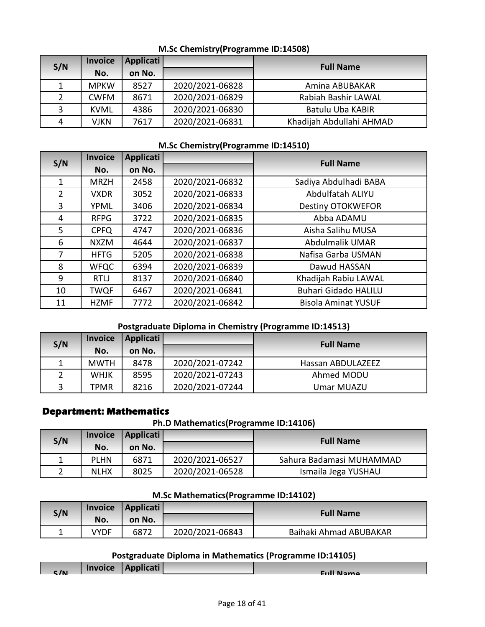| S/N            | <b>Invoice</b> | Applicati |                 | <b>Full Name</b>         |
|----------------|----------------|-----------|-----------------|--------------------------|
|                | No.            | on No.    |                 |                          |
| $\mathbf{1}$   | <b>MPKW</b>    | 8527      | 2020/2021-06828 | Amina ABUBAKAR           |
| $\overline{2}$ | <b>CWFM</b>    | 8671      | 2020/2021-06829 | Rabiah Bashir LAWAL      |
| $\overline{3}$ | <b>KVML</b>    | 4386      | 2020/2021-06830 | <b>Batulu Uba KABIR</b>  |
| 4              | <b>VJKN</b>    | 7617      | 2020/2021-06831 | Khadijah Abdullahi AHMAD |

### **M.Sc Chemistry(Programme ID:14508)**

### **M.Sc Chemistry(Programme ID:14510)**

| S/N            | <b>Invoice</b> | Applicati |                 | <b>Full Name</b>            |
|----------------|----------------|-----------|-----------------|-----------------------------|
|                | No.            | on No.    |                 |                             |
| 1              | <b>MRZH</b>    | 2458      | 2020/2021-06832 | Sadiya Abdulhadi BABA       |
| $\overline{2}$ | <b>VXDR</b>    | 3052      | 2020/2021-06833 | Abdulfatah ALIYU            |
| 3              | <b>YPML</b>    | 3406      | 2020/2021-06834 | <b>Destiny OTOKWEFOR</b>    |
| 4              | <b>RFPG</b>    | 3722      | 2020/2021-06835 | Abba ADAMU                  |
| 5              | <b>CPFQ</b>    | 4747      | 2020/2021-06836 | Aisha Salihu MUSA           |
| 6              | <b>NXZM</b>    | 4644      | 2020/2021-06837 | Abdulmalik UMAR             |
| 7              | <b>HFTG</b>    | 5205      | 2020/2021-06838 | Nafisa Garba USMAN          |
| 8              | <b>WFQC</b>    | 6394      | 2020/2021-06839 | Dawud HASSAN                |
| 9              | <b>RTLJ</b>    | 8137      | 2020/2021-06840 | Khadijah Rabiu LAWAL        |
| 10             | <b>TWQF</b>    | 6467      | 2020/2021-06841 | <b>Buhari Gidado HALILU</b> |
| 11             | <b>HZMF</b>    | 7772      | 2020/2021-06842 | <b>Bisola Aminat YUSUF</b>  |

### **Postgraduate Diploma in Chemistry (Programme ID:14513)**

| S/N          | <b>Invoice</b> | Applicati |                 | <b>Full Name</b>  |
|--------------|----------------|-----------|-----------------|-------------------|
|              | No.            | on No.    |                 |                   |
|              | <b>MWTH</b>    | 8478      | 2020/2021-07242 | Hassan ABDULAZEEZ |
|              | <b>WHJK</b>    | 8595      | 2020/2021-07243 | Ahmed MODU        |
| $\mathbf{r}$ | TPMR           | 8216      | 2020/2021-07244 | <b>Umar MUAZU</b> |

### **Department: Mathematics**

**Ph.D Mathematics(Programme ID:14106)**

| S/N | <b>Invoice</b> | Applicati |                 | <b>Full Name</b>         |
|-----|----------------|-----------|-----------------|--------------------------|
|     | No.            | on No.    |                 |                          |
|     | <b>PLHN</b>    | 6871      | 2020/2021-06527 | Sahura Badamasi MUHAMMAD |
|     | <b>NLHX</b>    | 8025      | 2020/2021-06528 | Ismaila Jega YUSHAU      |

#### **M.Sc Mathematics(Programme ID:14102)**

| S/N | <b>Invoice</b> | Applicati |                 | <b>Full Name</b>       |
|-----|----------------|-----------|-----------------|------------------------|
|     | No.            | on No.    |                 |                        |
|     | VYDF           | 6872      | 2020/2021-06843 | Baihaki Ahmad ABUBAKAR |

### **Postgraduate Diploma in Mathematics (Programme ID:14105)**

| C/N | <b>Invoice</b> | Applicati | $Full N$ |
|-----|----------------|-----------|----------|
|     |                |           |          |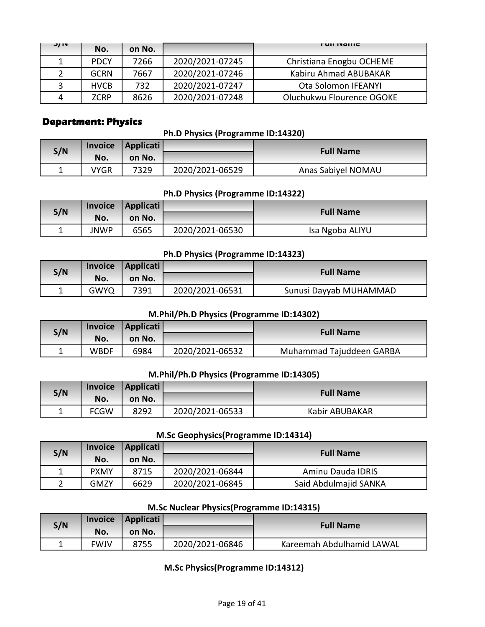| <b>J/IV</b> | No.         | on No. |                 | <b>FUILIVALLIC</b>        |
|-------------|-------------|--------|-----------------|---------------------------|
|             | <b>PDCY</b> | 7266   | 2020/2021-07245 | Christiana Enogbu OCHEME  |
|             | <b>GCRN</b> | 7667   | 2020/2021-07246 | Kabiru Ahmad ABUBAKAR     |
| ર           | <b>HVCB</b> | 732    | 2020/2021-07247 | Ota Solomon IFEANYI       |
|             | ZCRP        | 8626   | 2020/2021-07248 | Oluchukwu Flourence OGOKE |

#### **Department: Physics**

**Ph.D Physics (Programme ID:14320)**

| S/N | <b>Invoice</b> | Applicati |                 |                    |
|-----|----------------|-----------|-----------------|--------------------|
|     | No.            | on No.    |                 | <b>Full Name</b>   |
|     | <b>VYGR</b>    | 7329      | 2020/2021-06529 | Anas Sabiyel NOMAU |

### **Ph.D Physics (Programme ID:14322)**

| S/N        |             | Invoice   Applicati |                 | <b>Full Name</b> |
|------------|-------------|---------------------|-----------------|------------------|
|            | No.         | on No.              |                 |                  |
| <u>. .</u> | <b>JNWP</b> | 6565                | 2020/2021-06530 | Isa Ngoba ALIYU  |

#### **Ph.D Physics (Programme ID:14323)**

| S/N | <b>Invoice</b> | Applicati |                 | <b>Full Name</b>       |
|-----|----------------|-----------|-----------------|------------------------|
|     | No.            | on No.    |                 |                        |
|     | <b>GWYQ</b>    | 7391      | 2020/2021-06531 | Sunusi Dayyab MUHAMMAD |

#### **M.Phil/Ph.D Physics (Programme ID:14302)**

| S/N |             | Invoice   Applicati |                 | <b>Full Name</b>         |
|-----|-------------|---------------------|-----------------|--------------------------|
|     | No.         | on No.              |                 |                          |
|     | <b>WBDF</b> | 6984                | 2020/2021-06532 | Muhammad Tajuddeen GARBA |

#### **M.Phil/Ph.D Physics (Programme ID:14305)**

| S/N | <b>Invoice</b> | Applicati |                 | <b>Full Name</b> |
|-----|----------------|-----------|-----------------|------------------|
|     | No.            | on No.    |                 |                  |
|     | <b>FCGW</b>    | 8292      | 2020/2021-06533 | Kabir ABUBAKAR   |

#### **M.Sc Geophysics(Programme ID:14314)**

| S/N | <b>Invoice</b> | Applicati |                 | <b>Full Name</b>      |
|-----|----------------|-----------|-----------------|-----------------------|
|     | No.            | on No.    |                 |                       |
|     | <b>PXMY</b>    | 8715      | 2020/2021-06844 | Aminu Dauda IDRIS     |
|     | <b>GMZY</b>    | 6629      | 2020/2021-06845 | Said Abdulmajid SANKA |

### **M.Sc Nuclear Physics(Programme ID:14315)**

| S/N | <b>Invoice</b> | Applicati |                 | <b>Full Name</b>          |
|-----|----------------|-----------|-----------------|---------------------------|
|     | No.            | on No.    |                 |                           |
|     | <b>FWJV</b>    | 8755      | 2020/2021-06846 | Kareemah Abdulhamid LAWAL |

#### **M.Sc Physics(Programme ID:14312)**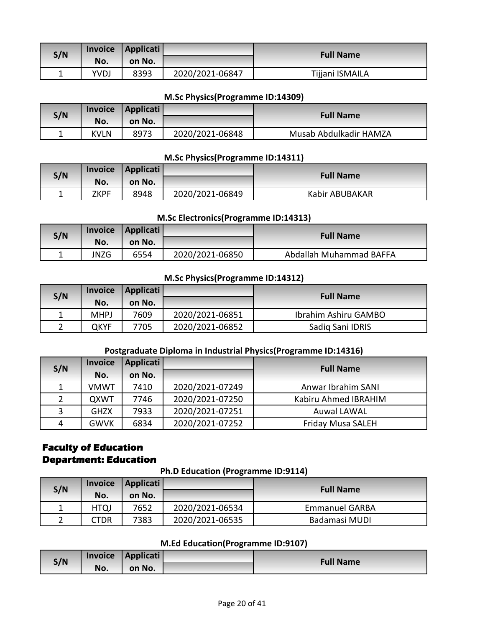| S/N |      | Invoice   Applicati |                 | <b>Full Name</b> |
|-----|------|---------------------|-----------------|------------------|
|     | No.  | on No.              |                 |                  |
|     | YVDJ | 8393                | 2020/2021-06847 | Tijjani ISMAILA  |

#### **M.Sc Physics(Programme ID:14309)**

| S/N |             | Invoice   Applicati |                 | <b>Full Name</b>       |
|-----|-------------|---------------------|-----------------|------------------------|
|     | No.         | on No.              |                 |                        |
|     | <b>KVLN</b> | 8973                | 2020/2021-06848 | Musab Abdulkadir HAMZA |

#### **M.Sc Physics(Programme ID:14311)**

| S/N | <b>Invoice</b> | Applicati |                 |                  |
|-----|----------------|-----------|-----------------|------------------|
|     | No.            | on No.    |                 | <b>Full Name</b> |
| -   | ZKPF           | 8948      | 2020/2021-06849 | Kabir ABUBAKAR   |

#### **M.Sc Electronics(Programme ID:14313)**

| S/N | <b>Invoice</b> | Applicati |                 | <b>Full Name</b>        |
|-----|----------------|-----------|-----------------|-------------------------|
|     | No.            | on No.    |                 |                         |
| л   | JNZG           | 6554      | 2020/2021-06850 | Abdallah Muhammad BAFFA |

#### **M.Sc Physics(Programme ID:14312)**

| S/N | <b>Invoice</b> | Applicati |                 | <b>Full Name</b>     |
|-----|----------------|-----------|-----------------|----------------------|
|     | No.            | on No.    |                 |                      |
|     | <b>MHPJ</b>    | 7609      | 2020/2021-06851 | Ibrahim Ashiru GAMBO |
|     | QKYF           | 7705      | 2020/2021-06852 | Sadiq Sani IDRIS     |

### **Postgraduate Diploma in Industrial Physics(Programme ID:14316)**

| S/N            | <b>Invoice</b> | Applicati |                 | <b>Full Name</b>         |
|----------------|----------------|-----------|-----------------|--------------------------|
|                | No.            | on No.    |                 |                          |
|                | <b>VMWT</b>    | 7410      | 2020/2021-07249 | Anwar Ibrahim SANI       |
| $\overline{2}$ | QXWT           | 7746      | 2020/2021-07250 | Kabiru Ahmed IBRAHIM     |
| $\mathbf{R}$   | <b>GHZX</b>    | 7933      | 2020/2021-07251 | <b>Auwal LAWAL</b>       |
| 4              | <b>GWVK</b>    | 6834      | 2020/2021-07252 | <b>Friday Musa SALEH</b> |

### **Faculty of Education Department: Education**

**Ph.D Education (Programme ID:9114)**

| S/N | <b>Invoice</b> | Applicati |                 | <b>Full Name</b>      |
|-----|----------------|-----------|-----------------|-----------------------|
|     | No.            | on No.    |                 |                       |
|     | <b>HTQJ</b>    | 7652      | 2020/2021-06534 | <b>Emmanuel GARBA</b> |
|     | CTDR           | 7383      | 2020/2021-06535 | Badamasi MUDI         |

#### **M.Ed Education(Programme ID:9107)**

| S/N | Invoice | Applicati | <b>Full Name</b> |
|-----|---------|-----------|------------------|
|     | No.     | on No.    |                  |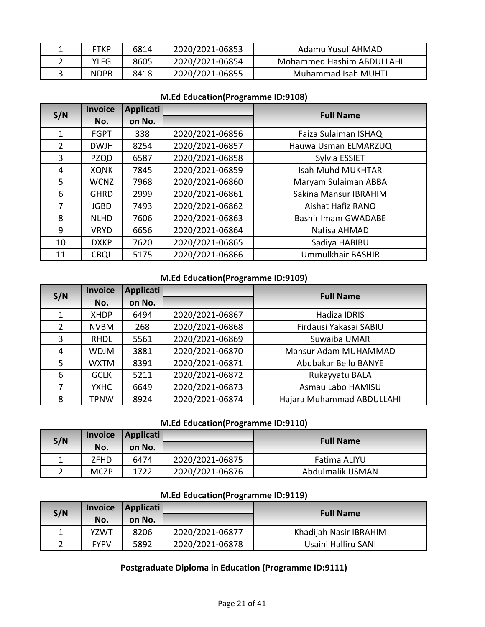| FTKP        | 6814 | 2020/2021-06853 | Adamu Yusuf AHMAD         |
|-------------|------|-----------------|---------------------------|
| YLFG        | 8605 | 2020/2021-06854 | Mohammed Hashim ABDULLAHI |
| <b>NDPB</b> | 8418 | 2020/2021-06855 | Muhammad Isah MUHTI       |

| S/N            | <b>Invoice</b> | <b>Applicati</b> |                 | <b>Full Name</b>           |
|----------------|----------------|------------------|-----------------|----------------------------|
|                | No.            | on No.           |                 |                            |
| 1              | <b>FGPT</b>    | 338              | 2020/2021-06856 | Faiza Sulaiman ISHAQ       |
| $\overline{2}$ | <b>DWJH</b>    | 8254             | 2020/2021-06857 | Hauwa Usman ELMARZUQ       |
| 3              | <b>PZQD</b>    | 6587             | 2020/2021-06858 | Sylvia ESSIET              |
| 4              | <b>XQNK</b>    | 7845             | 2020/2021-06859 | <b>Isah Muhd MUKHTAR</b>   |
| 5              | <b>WCNZ</b>    | 7968             | 2020/2021-06860 | Maryam Sulaiman ABBA       |
| 6              | <b>GHRD</b>    | 2999             | 2020/2021-06861 | Sakina Mansur IBRAHIM      |
| 7              | <b>JGBD</b>    | 7493             | 2020/2021-06862 | Aishat Hafiz RANO          |
| 8              | <b>NLHD</b>    | 7606             | 2020/2021-06863 | <b>Bashir Imam GWADABE</b> |
| 9              | <b>VRYD</b>    | 6656             | 2020/2021-06864 | Nafisa AHMAD               |
| 10             | <b>DXKP</b>    | 7620             | 2020/2021-06865 | Sadiya HABIBU              |
| 11             | <b>CBQL</b>    | 5175             | 2020/2021-06866 | Ummulkhair BASHIR          |

#### **M.Ed Education(Programme ID:9109)**

| S/N | <b>Invoice</b> | Applicati |                 | <b>Full Name</b>          |
|-----|----------------|-----------|-----------------|---------------------------|
|     | No.            | on No.    |                 |                           |
|     | <b>XHDP</b>    | 6494      | 2020/2021-06867 | Hadiza IDRIS              |
| 2   | <b>NVBM</b>    | 268       | 2020/2021-06868 | Firdausi Yakasai SABIU    |
| 3   | <b>RHDL</b>    | 5561      | 2020/2021-06869 | Suwaiba UMAR              |
| 4   | <b>WDJM</b>    | 3881      | 2020/2021-06870 | Mansur Adam MUHAMMAD      |
| 5.  | <b>WXTM</b>    | 8391      | 2020/2021-06871 | Abubakar Bello BANYE      |
| 6   | <b>GCLK</b>    | 5211      | 2020/2021-06872 | Rukayyatu BALA            |
|     | <b>YXHC</b>    | 6649      | 2020/2021-06873 | Asmau Labo HAMISU         |
| 8   | <b>TPNW</b>    | 8924      | 2020/2021-06874 | Hajara Muhammad ABDULLAHI |

### **M.Ed Education(Programme ID:9110)**

| S/N | <b>Invoice</b><br>No. | Applicati<br>on No. |                 | <b>Full Name</b> |
|-----|-----------------------|---------------------|-----------------|------------------|
| 1   | ZFHD                  | 6474                | 2020/2021-06875 | Fatima ALIYU     |
|     | <b>MCZP</b>           | 1722                | 2020/2021-06876 | Abdulmalik USMAN |

### **M.Ed Education(Programme ID:9119)**

| S/N | <b>Invoice</b> | Applicati |                 | <b>Full Name</b>       |
|-----|----------------|-----------|-----------------|------------------------|
|     | No.            | on No.    |                 |                        |
|     | YZWT           | 8206      | 2020/2021-06877 | Khadijah Nasir IBRAHIM |
|     | <b>FYPV</b>    | 5892      | 2020/2021-06878 | Usaini Halliru SANI    |

### **Postgraduate Diploma in Education (Programme ID:9111)**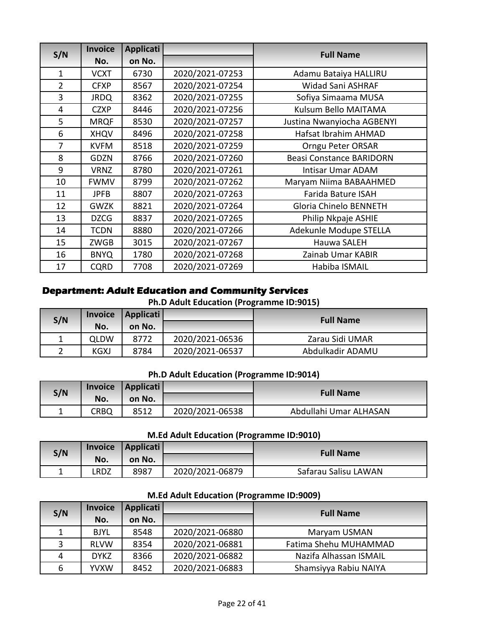| S/N            | <b>Invoice</b> | <b>Applicati</b> |                 | <b>Full Name</b>                |
|----------------|----------------|------------------|-----------------|---------------------------------|
|                | No.            | on No.           |                 |                                 |
| $\mathbf{1}$   | <b>VCXT</b>    | 6730             | 2020/2021-07253 | Adamu Bataiya HALLIRU           |
| $\overline{2}$ | <b>CFXP</b>    | 8567             | 2020/2021-07254 | Widad Sani ASHRAF               |
| 3              | <b>JRDQ</b>    | 8362             | 2020/2021-07255 | Sofiya Simaama MUSA             |
| $\overline{4}$ | <b>CZXP</b>    | 8446             | 2020/2021-07256 | Kulsum Bello MAITAMA            |
| 5              | <b>MRQF</b>    | 8530             | 2020/2021-07257 | Justina Nwanyiocha AGBENYI      |
| 6              | <b>XHQV</b>    | 8496             | 2020/2021-07258 | Hafsat Ibrahim AHMAD            |
| 7              | <b>KVFM</b>    | 8518             | 2020/2021-07259 | Orngu Peter ORSAR               |
| 8              | <b>GDZN</b>    | 8766             | 2020/2021-07260 | <b>Beasi Constance BARIDORN</b> |
| 9              | <b>VRNZ</b>    | 8780             | 2020/2021-07261 | <b>Intisar Umar ADAM</b>        |
| 10             | <b>FWMV</b>    | 8799             | 2020/2021-07262 | Maryam Niima BABAAHMED          |
| 11             | <b>JPFB</b>    | 8807             | 2020/2021-07263 | Farida Bature ISAH              |
| 12             | <b>GWZK</b>    | 8821             | 2020/2021-07264 | Gloria Chinelo BENNETH          |
| 13             | <b>DZCG</b>    | 8837             | 2020/2021-07265 | Philip Nkpaje ASHIE             |
| 14             | <b>TCDN</b>    | 8880             | 2020/2021-07266 | Adekunle Modupe STELLA          |
| 15             | ZWGB           | 3015             | 2020/2021-07267 | Hauwa SALEH                     |
| 16             | <b>BNYQ</b>    | 1780             | 2020/2021-07268 | Zainab Umar KABIR               |
| 17             | <b>CQRD</b>    | 7708             | 2020/2021-07269 | Habiba ISMAIL                   |

### **Department: Adult Education and Community Services**

**Ph.D Adult Education (Programme ID:9015)**

| S/N | <b>Invoice</b> | Applicati |                 | <b>Full Name</b> |
|-----|----------------|-----------|-----------------|------------------|
|     | No.            | on No.    |                 |                  |
|     | <b>QLDW</b>    | 8772      | 2020/2021-06536 | Zarau Sidi UMAR  |
|     | KGXJ           | 8784      | 2020/2021-06537 | Abdulkadir ADAMU |

### **Ph.D Adult Education (Programme ID:9014)**

| S/N | <b>Invoice</b> | Applicati |                 | <b>Full Name</b>       |
|-----|----------------|-----------|-----------------|------------------------|
|     | No.            | on No.    |                 |                        |
|     | CRBQ           | 8512      | 2020/2021-06538 | Abdullahi Umar ALHASAN |

#### **M.Ed Adult Education (Programme ID:9010)**

| S/N | <b>Invoice</b> | Applicati |                 |                      |
|-----|----------------|-----------|-----------------|----------------------|
|     | No.            | on No.    |                 | <b>Full Name</b>     |
|     | LRDZ           | 8987      | 2020/2021-06879 | Safarau Salisu LAWAN |

### **M.Ed Adult Education (Programme ID:9009)**

| S/N | <b>Invoice</b> | Applicati |                 | <b>Full Name</b>       |
|-----|----------------|-----------|-----------------|------------------------|
|     | No.            | on No.    |                 |                        |
|     | <b>BJYL</b>    | 8548      | 2020/2021-06880 | Maryam USMAN           |
| 3   | <b>RLVW</b>    | 8354      | 2020/2021-06881 | Fatima Shehu MUHAMMAD  |
| 4   | <b>DYKZ</b>    | 8366      | 2020/2021-06882 | Nazifa Alhassan ISMAIL |
| 6   | <b>YVXW</b>    | 8452      | 2020/2021-06883 | Shamsiyya Rabiu NAIYA  |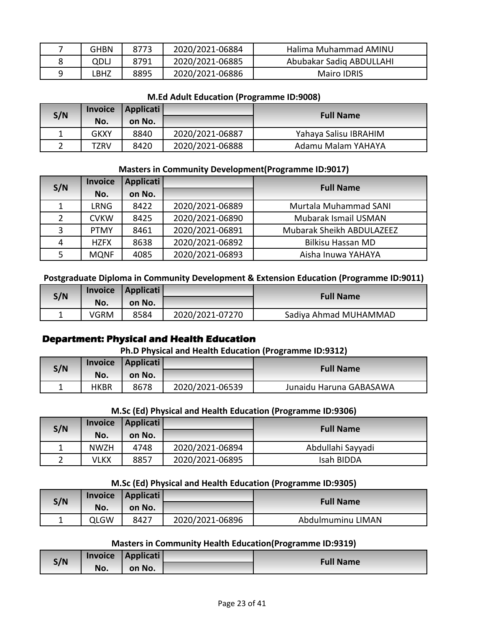| GHBN  | 8773 | 2020/2021-06884 | Halima Muhammad AMINU    |
|-------|------|-----------------|--------------------------|
| QDLJ  | 8791 | 2020/2021-06885 | Abubakar Sadig ABDULLAHI |
| '.BHZ | 8895 | 2020/2021-06886 | Mairo IDRIS              |

#### **M.Ed Adult Education (Programme ID:9008)**

| S/N | <b>Invoice</b> | <b>Applicati</b> |                 | <b>Full Name</b>      |
|-----|----------------|------------------|-----------------|-----------------------|
|     | No.            | on No.           |                 |                       |
|     | GKXY           | 8840             | 2020/2021-06887 | Yahaya Salisu IBRAHIM |
|     | TZRV           | 8420             | 2020/2021-06888 | Adamu Malam YAHAYA    |

#### **Masters in Community Development(Programme ID:9017)**

| S/N           | <b>Invoice</b> | Applicati |                 | <b>Full Name</b>          |
|---------------|----------------|-----------|-----------------|---------------------------|
|               | No.            | on No.    |                 |                           |
| $\mathbf{1}$  | <b>LRNG</b>    | 8422      | 2020/2021-06889 | Murtala Muhammad SANI     |
| $\mathcal{P}$ | <b>CVKW</b>    | 8425      | 2020/2021-06890 | Mubarak Ismail USMAN      |
| 3             | <b>PTMY</b>    | 8461      | 2020/2021-06891 | Mubarak Sheikh ABDULAZEEZ |
| 4             | <b>HZFX</b>    | 8638      | 2020/2021-06892 | <b>Bilkisu Hassan MD</b>  |
|               | <b>MQNF</b>    | 4085      | 2020/2021-06893 | Aisha Inuwa YAHAYA        |

#### **Postgraduate Diploma in Community Development & Extension Education (Programme ID:9011)**

| S/N |      | Invoice   Applicati |                 | <b>Full Name</b>      |
|-----|------|---------------------|-----------------|-----------------------|
|     | No.  | on No.              |                 |                       |
|     | VGRM | 8584                | 2020/2021-07270 | Sadiya Ahmad MUHAMMAD |

### **Department: Physical and Health Education**

#### **Ph.D Physical and Health Education (Programme ID:9312)**

| S/N | <b>Invoice</b> | Applicati |                 | <b>Full Name</b>        |
|-----|----------------|-----------|-----------------|-------------------------|
|     | No.            | on No.    |                 |                         |
|     | HKBR           | 8678      | 2020/2021-06539 | Junaidu Haruna GABASAWA |

#### **M.Sc (Ed) Physical and Health Education (Programme ID:9306)**

| S/N | <b>Invoice</b> | <b>Applicati</b> |                 | <b>Full Name</b>  |
|-----|----------------|------------------|-----------------|-------------------|
|     | No.            | on No.           |                 |                   |
|     | <b>NWZH</b>    | 4748             | 2020/2021-06894 | Abdullahi Sayyadi |
|     | VLKX           | 8857             | 2020/2021-06895 | Isah BIDDA        |

#### **M.Sc (Ed) Physical and Health Education (Programme ID:9305)**

| S/N | <b>Invoice</b> | <b>Applicati</b> |                 | <b>Full Name</b>  |
|-----|----------------|------------------|-----------------|-------------------|
|     | No.            | on No.           |                 |                   |
| -   | QLGW           | 8427             | 2020/2021-06896 | Abdulmuminu LIMAN |

#### **Masters in Community Health Education(Programme ID:9319)**

| S/N | <b>Invoice</b> | Applicati | <b>Full Name</b> |
|-----|----------------|-----------|------------------|
|     | No.            | on No.    |                  |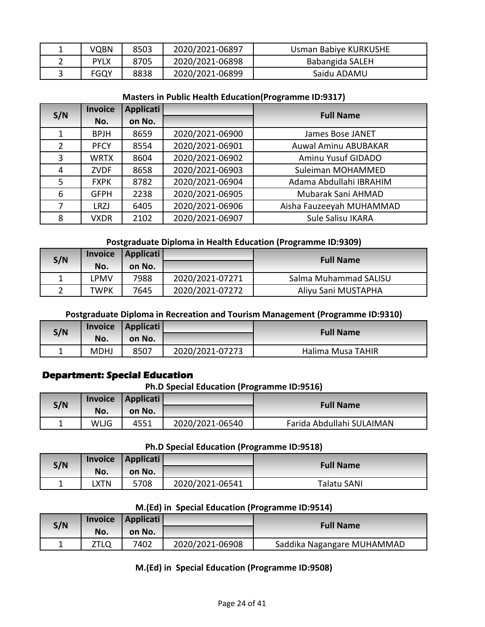| VQBN        | 8503 | 2020/2021-06897 | <b>Usman Babiye KURKUSHE</b> |
|-------------|------|-----------------|------------------------------|
| <b>PYLX</b> | 8705 | 2020/2021-06898 | Babangida SALEH              |
| <b>FGQY</b> | 8838 | 2020/2021-06899 | Saidu ADAMU                  |

#### **Masters in Public Health Education(Programme ID:9317)**

| S/N | <b>Invoice</b> | <b>Applicati</b> |                 | <b>Full Name</b>            |
|-----|----------------|------------------|-----------------|-----------------------------|
|     | No.            | on No.           |                 |                             |
|     | <b>BPJH</b>    | 8659             | 2020/2021-06900 | James Bose JANET            |
| 2   | <b>PFCY</b>    | 8554             | 2020/2021-06901 | <b>Auwal Aminu ABUBAKAR</b> |
| 3   | <b>WRTX</b>    | 8604             | 2020/2021-06902 | Aminu Yusuf GIDADO          |
| 4   | <b>ZVDF</b>    | 8658             | 2020/2021-06903 | Suleiman MOHAMMED           |
| 5   | <b>FXPK</b>    | 8782             | 2020/2021-06904 | Adama Abdullahi IBRAHIM     |
| 6   | <b>GFPH</b>    | 2238             | 2020/2021-06905 | Mubarak Sani AHMAD          |
|     | <b>LRZJ</b>    | 6405             | 2020/2021-06906 | Aisha Fauzeeyah MUHAMMAD    |
| 8   | <b>VXDR</b>    | 2102             | 2020/2021-06907 | Sule Salisu IKARA           |

#### **Postgraduate Diploma in Health Education (Programme ID:9309)**

| S/N | <b>Invoice</b><br>No. | <b>Applicati</b><br>on No. |                 | <b>Full Name</b>      |
|-----|-----------------------|----------------------------|-----------------|-----------------------|
|     | LPMV                  | 7988                       | 2020/2021-07271 | Salma Muhammad SALISU |
|     | TWPK                  | 7645                       | 2020/2021-07272 | Aliyu Sani MUSTAPHA   |

**Postgraduate Diploma in Recreation and Tourism Management (Programme ID:9310)**

| S/N | <b>Invoice</b> | Applicati |                 | <b>Full Name</b>  |
|-----|----------------|-----------|-----------------|-------------------|
|     | No.            | on No.    |                 |                   |
|     | MDHJ           | 8507      | 2020/2021-07273 | Halima Musa TAHIR |

### **Department: Special Education**

**Ph.D Special Education (Programme ID:9516)**

| S/N | <b>Invoice</b> | Applicati |                 | <b>Full Name</b>          |
|-----|----------------|-----------|-----------------|---------------------------|
|     | No.            | on No.    |                 |                           |
|     | <b>WLJG</b>    | 4551      | 2020/2021-06540 | Farida Abdullahi SULAIMAN |

#### **Ph.D Special Education (Programme ID:9518)**

| S/N | <b>Invoice</b> | Applicati |                 |                  |
|-----|----------------|-----------|-----------------|------------------|
|     | No.            | on No.    |                 | <b>Full Name</b> |
|     | .XTN           | 5708      | 2020/2021-06541 | Talatu SANI      |

### **M.(Ed) in Special Education (Programme ID:9514)**

| S/N |     | Invoice   Applicati |                 | <b>Full Name</b>           |
|-----|-----|---------------------|-----------------|----------------------------|
|     | No. | on No.              |                 |                            |
|     |     | 7402                | 2020/2021-06908 | Saddika Nagangare MUHAMMAD |

### **M.(Ed) in Special Education (Programme ID:9508)**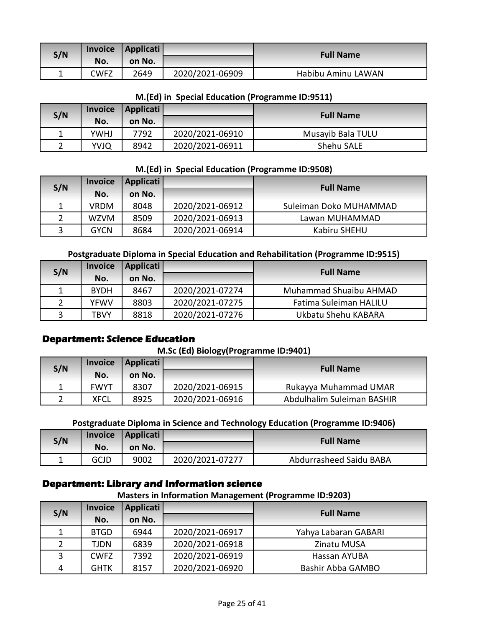| S/N | No.  | Invoice   Applicati  <br>on No. |                 | <b>Full Name</b>   |
|-----|------|---------------------------------|-----------------|--------------------|
|     | CWFZ | 2649                            | 2020/2021-06909 | Habibu Aminu LAWAN |

#### **M.(Ed) in Special Education (Programme ID:9511)**

| S/N | <b>Invoice</b> | Applicati |                 | <b>Full Name</b>  |
|-----|----------------|-----------|-----------------|-------------------|
|     | No.            | on No.    |                 |                   |
|     | <b>YWHJ</b>    | 7792      | 2020/2021-06910 | Musayib Bala TULU |
|     | YVJQ           | 8942      | 2020/2021-06911 | Shehu SALE        |

#### **M.(Ed) in Special Education (Programme ID:9508)**

| S/N | <b>Invoice</b> | Applicati |                 | <b>Full Name</b>       |
|-----|----------------|-----------|-----------------|------------------------|
|     | No.            | on No.    |                 |                        |
|     | <b>VRDM</b>    | 8048      | 2020/2021-06912 | Suleiman Doko MUHAMMAD |
|     | <b>WZVM</b>    | 8509      | 2020/2021-06913 | Lawan MUHAMMAD         |
|     | <b>GYCN</b>    | 8684      | 2020/2021-06914 | Kabiru SHEHU           |

#### **Postgraduate Diploma in Special Education and Rehabilitation (Programme ID:9515)**

| S/N          | <b>Invoice</b> | Applicati |                 | <b>Full Name</b>       |
|--------------|----------------|-----------|-----------------|------------------------|
|              | No.            | on No.    |                 |                        |
|              | <b>BYDH</b>    | 8467      | 2020/2021-07274 | Muhammad Shuaibu AHMAD |
|              | <b>YFWV</b>    | 8803      | 2020/2021-07275 | Fatima Suleiman HALILU |
| $\mathbf{a}$ | TBVY           | 8818      | 2020/2021-07276 | Ukbatu Shehu KABARA    |

### **Department: Science Education**

**M.Sc (Ed) Biology(Programme ID:9401)**

| S/N | <b>Invoice</b> | <b>Applicati</b> |                 | <b>Full Name</b>           |
|-----|----------------|------------------|-----------------|----------------------------|
|     | No.            | on No.           |                 |                            |
|     | <b>FWYT</b>    | 8307             | 2020/2021-06915 | Rukayya Muhammad UMAR      |
|     | XFCL           | 8925             | 2020/2021-06916 | Abdulhalim Suleiman BASHIR |

**Postgraduate Diploma in Science and Technology Education (Programme ID:9406)**

| S/N | <b>Invoice</b> | Applicati |                 | <b>Full Name</b>        |
|-----|----------------|-----------|-----------------|-------------------------|
|     | No.            | on No.    |                 |                         |
| -   | GCJD           | 9002      | 2020/2021-07277 | Abdurrasheed Saidu BABA |

### **Department: Library and Information science**

**Masters in Information Management (Programme ID:9203)**

| S/N            | <b>Invoice</b> | Applicati |                 | <b>Full Name</b>     |
|----------------|----------------|-----------|-----------------|----------------------|
|                | No.            | on No.    |                 |                      |
|                | <b>BTGD</b>    | 6944      | 2020/2021-06917 | Yahya Labaran GABARI |
| $\overline{2}$ | TJDN           | 6839      | 2020/2021-06918 | Zinatu MUSA          |
| 3              | <b>CWFZ</b>    | 7392      | 2020/2021-06919 | Hassan AYUBA         |
| 4              | <b>GHTK</b>    | 8157      | 2020/2021-06920 | Bashir Abba GAMBO    |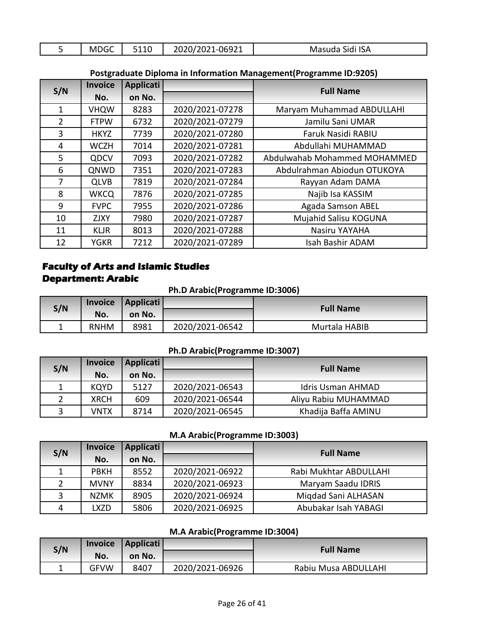| $\overline{\phantom{0}}$<br>$\sim$<br><b>MDGC</b><br>- | 110<br>JIIU | $-06921$<br>ZUZUI.<br><u>_v__</u> | Sidi ISA<br>Masuda |
|--------------------------------------------------------|-------------|-----------------------------------|--------------------|
|--------------------------------------------------------|-------------|-----------------------------------|--------------------|

### **Postgraduate Diploma in Information Management(Programme ID:9205)**

|                | <b>Invoice</b> | <b>Applicati</b> |                 | <b>Full Name</b>             |
|----------------|----------------|------------------|-----------------|------------------------------|
| S/N            | No.            | on No.           |                 |                              |
| 1              | <b>VHQW</b>    | 8283             | 2020/2021-07278 | Maryam Muhammad ABDULLAHI    |
| $\overline{2}$ | <b>FTPW</b>    | 6732             | 2020/2021-07279 | Jamilu Sani UMAR             |
| 3              | <b>HKYZ</b>    | 7739             | 2020/2021-07280 | Faruk Nasidi RABIU           |
| 4              | <b>WCZH</b>    | 7014             | 2020/2021-07281 | Abdullahi MUHAMMAD           |
| 5              | QDCV           | 7093             | 2020/2021-07282 | Abdulwahab Mohammed MOHAMMED |
| 6              | QNWD           | 7351             | 2020/2021-07283 | Abdulrahman Abiodun OTUKOYA  |
| 7              | <b>QLVB</b>    | 7819             | 2020/2021-07284 | Rayyan Adam DAMA             |
| 8              | <b>WKCQ</b>    | 7876             | 2020/2021-07285 | Najib Isa KASSIM             |
| 9              | <b>FVPC</b>    | 7955             | 2020/2021-07286 | Agada Samson ABEL            |
| 10             | <b>ZJXY</b>    | 7980             | 2020/2021-07287 | Mujahid Salisu KOGUNA        |
| 11             | <b>KLJR</b>    | 8013             | 2020/2021-07288 | Nasiru YAYAHA                |
| 12             | <b>YGKR</b>    | 7212             | 2020/2021-07289 | Isah Bashir ADAM             |

### **Department: Arabic Faculty of Arts and Islamic Studies**

**Ph.D Arabic(Programme ID:3006)**

| S/N | <b>Invoice</b> | Applicati |                 | <b>Full Name</b> |
|-----|----------------|-----------|-----------------|------------------|
|     | No.            | on No.    |                 |                  |
|     | <b>RNHM</b>    | 8981      | 2020/2021-06542 | Murtala HABIB    |

### **Ph.D Arabic(Programme ID:3007)**

| S/N          | <b>Invoice</b> | Applicati |                 | <b>Full Name</b>         |
|--------------|----------------|-----------|-----------------|--------------------------|
|              | No.            | on No.    |                 |                          |
|              | <b>KQYD</b>    | 5127      | 2020/2021-06543 | <b>Idris Usman AHMAD</b> |
|              | <b>XRCH</b>    | 609       | 2020/2021-06544 | Aliyu Rabiu MUHAMMAD     |
| $\mathbf{R}$ | <b>VNTX</b>    | 8714      | 2020/2021-06545 | Khadija Baffa AMINU      |

#### **M.A Arabic(Programme ID:3003)**

| S/N | <b>Invoice</b> | Applicati |                 | <b>Full Name</b>       |
|-----|----------------|-----------|-----------------|------------------------|
|     | No.            | on No.    |                 |                        |
|     | <b>PBKH</b>    | 8552      | 2020/2021-06922 | Rabi Mukhtar ABDULLAHI |
|     | <b>MVNY</b>    | 8834      | 2020/2021-06923 | Maryam Saadu IDRIS     |
| 3   | <b>NZMK</b>    | 8905      | 2020/2021-06924 | Migdad Sani ALHASAN    |
| 4   | LXZD           | 5806      | 2020/2021-06925 | Abubakar Isah YABAGI   |

### **M.A Arabic(Programme ID:3004)**

| S/N | <b>Invoice</b> | Applicati |                 | <b>Full Name</b>     |
|-----|----------------|-----------|-----------------|----------------------|
|     | No.            | on No.    |                 |                      |
|     | <b>GFVW</b>    | 8407      | 2020/2021-06926 | Rabiu Musa ABDULLAHI |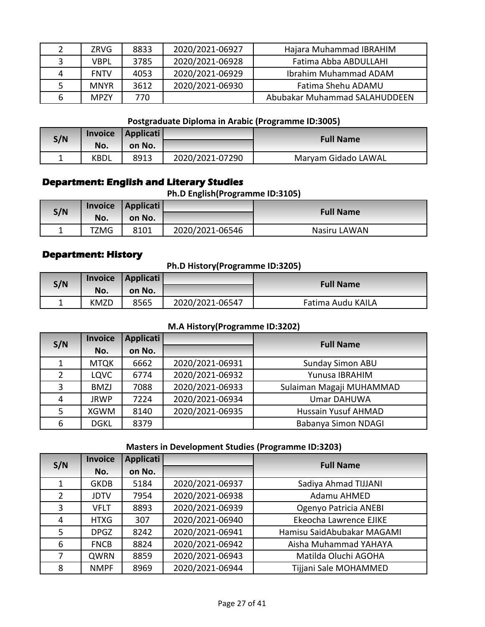|   | <b>ZRVG</b> | 8833 | 2020/2021-06927 | Hajara Muhammad IBRAHIM       |
|---|-------------|------|-----------------|-------------------------------|
| 3 | VBPL        | 3785 | 2020/2021-06928 | Fatima Abba ABDULLAHI         |
| Δ | <b>FNTV</b> | 4053 | 2020/2021-06929 | Ibrahim Muhammad ADAM         |
|   | <b>MNYR</b> | 3612 | 2020/2021-06930 | Fatima Shehu ADAMU            |
| 6 | <b>MPZY</b> | 770. |                 | Abubakar Muhammad SALAHUDDEEN |

### **Postgraduate Diploma in Arabic (Programme ID:3005)**

| S/N |      | Invoice   Applicati |                 | <b>Full Name</b>    |
|-----|------|---------------------|-----------------|---------------------|
|     | No.  | on No.              |                 |                     |
|     | KBDL | 8913                | 2020/2021-07290 | Maryam Gidado LAWAL |

### **Department: English and Literary Studies**

### **Ph.D English(Programme ID:3105)**

| S/N |      | Invoice   Applicati |                 | <b>Full Name</b> |
|-----|------|---------------------|-----------------|------------------|
|     | No.  | on No.              |                 |                  |
|     | TZMG | 8101                | 2020/2021-06546 | Nasiru LAWAN     |

### **Department: History**

#### **Ph.D History(Programme ID:3205)**

| S/N | <b>Invoice</b> | Applicati |                 | <b>Full Name</b>  |
|-----|----------------|-----------|-----------------|-------------------|
|     | No.            | on No.    |                 |                   |
|     | <b>KMZD</b>    | 8565      | 2020/2021-06547 | Fatima Audu KAILA |

#### **M.A History(Programme ID:3202)**

|               | Applicati<br><b>Invoice</b><br>S/N |        |                 | <b>Full Name</b>           |
|---------------|------------------------------------|--------|-----------------|----------------------------|
|               | No.                                | on No. |                 |                            |
|               | <b>MTQK</b>                        | 6662   | 2020/2021-06931 | Sunday Simon ABU           |
| $\mathcal{P}$ | <b>LQVC</b>                        | 6774   | 2020/2021-06932 | Yunusa IBRAHIM             |
| 3             | <b>BMZJ</b>                        | 7088   | 2020/2021-06933 | Sulaiman Magaji MUHAMMAD   |
| 4             | <b>JRWP</b>                        | 7224   | 2020/2021-06934 | <b>Umar DAHUWA</b>         |
| 5.            | <b>XGWM</b>                        | 8140   | 2020/2021-06935 | <b>Hussain Yusuf AHMAD</b> |
| 6             | <b>DGKL</b>                        | 8379   |                 | Babanya Simon NDAGI        |

### **Masters in Development Studies (Programme ID:3203)**

| S/N | <b>Invoice</b> | Applicati |                 | <b>Full Name</b>           |
|-----|----------------|-----------|-----------------|----------------------------|
|     | No.            | on No.    |                 |                            |
|     | <b>GKDB</b>    | 5184      | 2020/2021-06937 | Sadiya Ahmad TIJJANI       |
|     | <b>JDTV</b>    | 7954      | 2020/2021-06938 | Adamu AHMED                |
| 3   | <b>VFLT</b>    | 8893      | 2020/2021-06939 | Ogenyo Patricia ANEBI      |
| 4   | <b>HTXG</b>    | 307       | 2020/2021-06940 | Ekeocha Lawrence EJIKE     |
| 5   | <b>DPGZ</b>    | 8242      | 2020/2021-06941 | Hamisu SaidAbubakar MAGAMI |
| 6   | <b>FNCB</b>    | 8824      | 2020/2021-06942 | Aisha Muhammad YAHAYA      |
|     | <b>QWRN</b>    | 8859      | 2020/2021-06943 | Matilda Oluchi AGOHA       |
| 8   | <b>NMPF</b>    | 8969      | 2020/2021-06944 | Tijjani Sale MOHAMMED      |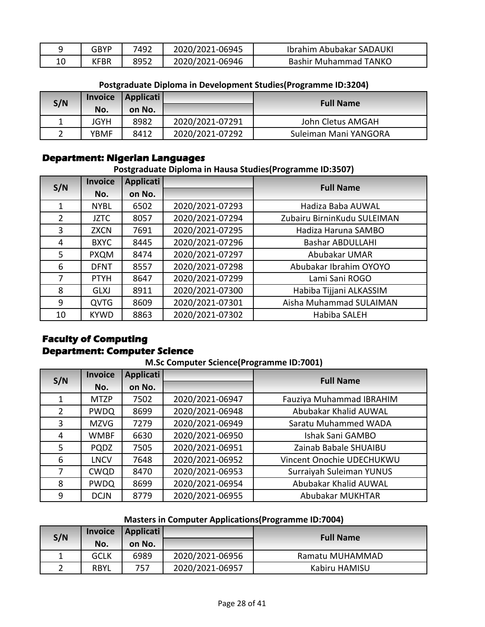|    | GBYP        | 7492 | 2020/2021-06945 | Ibrahim Abubakar SADAUKI |
|----|-------------|------|-----------------|--------------------------|
| 10 | <b>KFBR</b> | 8952 | 2020/2021-06946 | Bashir Muhammad TANKO    |

| S/N | <b>Invoice</b><br>No. | Applicati<br>on No. |                 | <b>Full Name</b>      |
|-----|-----------------------|---------------------|-----------------|-----------------------|
|     | JGYH                  | 8982                | 2020/2021-07291 | John Cletus AMGAH     |
|     | YBMF                  | 8412                | 2020/2021-07292 | Suleiman Mani YANGORA |

### **Postgraduate Diploma in Development Studies(Programme ID:3204)**

### **Department: Nigerian Languages**

#### **Postgraduate Diploma in Hausa Studies(Programme ID:3507)**

| S/N            | <b>Invoice</b> | <b>Applicati</b> |                 | <b>Full Name</b>            |
|----------------|----------------|------------------|-----------------|-----------------------------|
|                | No.            | on No.           |                 |                             |
|                | <b>NYBL</b>    | 6502             | 2020/2021-07293 | Hadiza Baba AUWAL           |
| $\overline{2}$ | <b>JZTC</b>    | 8057             | 2020/2021-07294 | Zubairu BirninKudu SULEIMAN |
| 3              | <b>ZXCN</b>    | 7691             | 2020/2021-07295 | Hadiza Haruna SAMBO         |
| 4              | <b>BXYC</b>    | 8445             | 2020/2021-07296 | <b>Bashar ABDULLAHI</b>     |
| 5              | <b>PXQM</b>    | 8474             | 2020/2021-07297 | Abubakar UMAR               |
| 6              | <b>DFNT</b>    | 8557             | 2020/2021-07298 | Abubakar Ibrahim OYOYO      |
| 7              | <b>PTYH</b>    | 8647             | 2020/2021-07299 | Lami Sani ROGO              |
| 8              | <b>GLXJ</b>    | 8911             | 2020/2021-07300 | Habiba Tijjani ALKASSIM     |
| 9              | QVTG           | 8609             | 2020/2021-07301 | Aisha Muhammad SULAIMAN     |
| 10             | <b>KYWD</b>    | 8863             | 2020/2021-07302 | Habiba SALEH                |

### **Department: Computer Science Faculty of Computing**

### **M.Sc Computer Science(Programme ID:7001)**

| S/N                   | <b>Invoice</b> | <b>Applicati</b> |                 | <b>Full Name</b>          |
|-----------------------|----------------|------------------|-----------------|---------------------------|
|                       | No.            | on No.           |                 |                           |
| $\mathbf{1}$          | <b>MTZP</b>    | 7502             | 2020/2021-06947 | Fauziya Muhammad IBRAHIM  |
| $\mathbf{2}^{\prime}$ | PWDQ           | 8699             | 2020/2021-06948 | Abubakar Khalid AUWAL     |
| 3                     | <b>MZVG</b>    | 7279             | 2020/2021-06949 | Saratu Muhammed WADA      |
| 4                     | <b>WMBF</b>    | 6630             | 2020/2021-06950 | Ishak Sani GAMBO          |
| 5                     | <b>PQDZ</b>    | 7505             | 2020/2021-06951 | Zainab Babale SHUAIBU     |
| 6                     | <b>LNCV</b>    | 7648             | 2020/2021-06952 | Vincent Onochie UDECHUKWU |
|                       | <b>CWQD</b>    | 8470             | 2020/2021-06953 | Surraiyah Suleiman YUNUS  |
| 8                     | <b>PWDQ</b>    | 8699             | 2020/2021-06954 | Abubakar Khalid AUWAL     |
| 9                     | <b>DCJN</b>    | 8779             | 2020/2021-06955 | Abubakar MUKHTAR          |

### **Masters in Computer Applications(Programme ID:7004)**

| S/N | <b>Invoice</b><br>No. | Applicati<br>on No. |                 | <b>Full Name</b> |
|-----|-----------------------|---------------------|-----------------|------------------|
|     | GCLK                  | 6989                | 2020/2021-06956 | Ramatu MUHAMMAD  |
|     | <b>RBYL</b>           | 757                 | 2020/2021-06957 | Kabiru HAMISU    |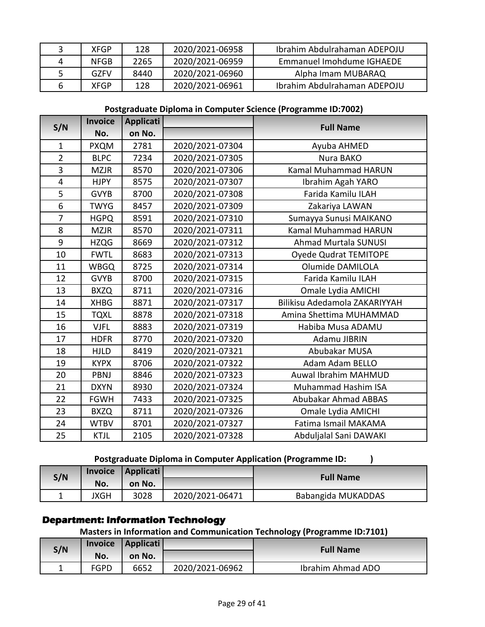|   | <b>XFGP</b> | 128  | 2020/2021-06958 | Ibrahim Abdulrahaman ADEPOJU |
|---|-------------|------|-----------------|------------------------------|
|   | <b>NFGB</b> | 2265 | 2020/2021-06959 | Emmanuel Imohdume IGHAEDE    |
|   | GZFV        | 8440 | 2020/2021-06960 | Alpha Imam MUBARAQ           |
| b | <b>XFGP</b> | 128  | 2020/2021-06961 | Ibrahim Abdulrahaman ADEPOJU |

### **Postgraduate Diploma in Computer Science (Programme ID:7002)**

| S/N            | <b>Invoice</b> | <b>Applicati</b> |                 | <b>Full Name</b>              |
|----------------|----------------|------------------|-----------------|-------------------------------|
|                | No.            | on No.           |                 |                               |
| $\mathbf{1}$   | <b>PXQM</b>    | 2781             | 2020/2021-07304 | Ayuba AHMED                   |
| $\overline{2}$ | <b>BLPC</b>    | 7234             | 2020/2021-07305 | Nura BAKO                     |
| 3              | <b>MZJR</b>    | 8570             | 2020/2021-07306 | <b>Kamal Muhammad HARUN</b>   |
| $\overline{4}$ | <b>HJPY</b>    | 8575             | 2020/2021-07307 | Ibrahim Agah YARO             |
| 5              | <b>GVYB</b>    | 8700             | 2020/2021-07308 | Farida Kamilu ILAH            |
| 6              | <b>TWYG</b>    | 8457             | 2020/2021-07309 | Zakariya LAWAN                |
| $\overline{7}$ | <b>HGPQ</b>    | 8591             | 2020/2021-07310 | Sumayya Sunusi MAIKANO        |
| 8              | <b>MZJR</b>    | 8570             | 2020/2021-07311 | <b>Kamal Muhammad HARUN</b>   |
| 9              | <b>HZQG</b>    | 8669             | 2020/2021-07312 | <b>Ahmad Murtala SUNUSI</b>   |
| 10             | <b>FWTL</b>    | 8683             | 2020/2021-07313 | Oyede Qudrat TEMITOPE         |
| 11             | <b>WBGQ</b>    | 8725             | 2020/2021-07314 | Olumide DAMILOLA              |
| 12             | <b>GVYB</b>    | 8700             | 2020/2021-07315 | Farida Kamilu ILAH            |
| 13             | <b>BXZQ</b>    | 8711             | 2020/2021-07316 | Omale Lydia AMICHI            |
| 14             | <b>XHBG</b>    | 8871             | 2020/2021-07317 | Bilikisu Adedamola ZAKARIYYAH |
| 15             | <b>TQXL</b>    | 8878             | 2020/2021-07318 | Amina Shettima MUHAMMAD       |
| 16             | <b>VJFL</b>    | 8883             | 2020/2021-07319 | Habiba Musa ADAMU             |
| 17             | <b>HDFR</b>    | 8770             | 2020/2021-07320 | <b>Adamu JIBRIN</b>           |
| 18             | <b>HJLD</b>    | 8419             | 2020/2021-07321 | Abubakar MUSA                 |
| 19             | <b>KYPX</b>    | 8706             | 2020/2021-07322 | Adam Adam BELLO               |
| 20             | PBNJ           | 8846             | 2020/2021-07323 | Auwal Ibrahim MAHMUD          |
| 21             | <b>DXYN</b>    | 8930             | 2020/2021-07324 | Muhammad Hashim ISA           |
| 22             | <b>FGWH</b>    | 7433             | 2020/2021-07325 | Abubakar Ahmad ABBAS          |
| 23             | <b>BXZQ</b>    | 8711             | 2020/2021-07326 | Omale Lydia AMICHI            |
| 24             | <b>WTBV</b>    | 8701             | 2020/2021-07327 | Fatima Ismail MAKAMA          |
| 25             | <b>KTJL</b>    | 2105             | 2020/2021-07328 | Abduljalal Sani DAWAKI        |

### **Postgraduate Diploma in Computer Application (Programme ID: )**

| S/N | <b>Invoice</b> | <b>Applicati</b> |                 | <b>Full Name</b>   |
|-----|----------------|------------------|-----------------|--------------------|
|     | No.            | on No.           |                 |                    |
|     | JXGH           | 3028             | 2020/2021-06471 | Babangida MUKADDAS |

### **Department: Information Technology**

### **Masters in Information and Communication Technology (Programme ID:7101)**

| S/N |             | Invoice   Applicati |                 | <b>Full Name</b>  |
|-----|-------------|---------------------|-----------------|-------------------|
| No. |             | on No.              |                 |                   |
|     | <b>FGPD</b> | 6652                | 2020/2021-06962 | Ibrahim Ahmad ADO |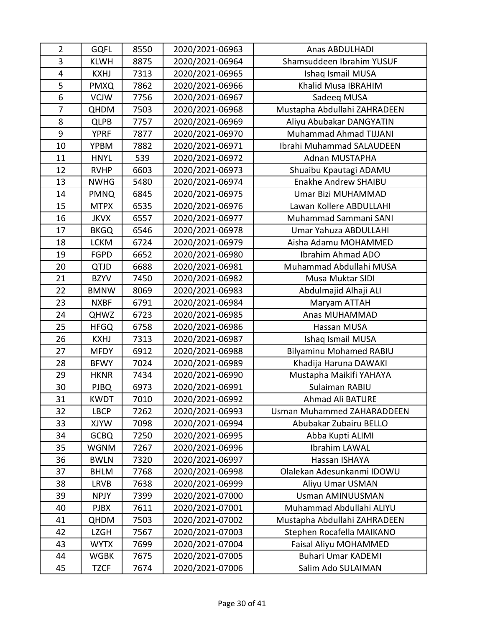| $\overline{2}$ | <b>GQFL</b> | 8550 | 2020/2021-06963 | Anas ABDULHADI                    |
|----------------|-------------|------|-----------------|-----------------------------------|
| 3              | <b>KLWH</b> | 8875 | 2020/2021-06964 | Shamsuddeen Ibrahim YUSUF         |
| 4              | <b>KXHJ</b> | 7313 | 2020/2021-06965 | Ishaq Ismail MUSA                 |
| 5              | <b>PMXQ</b> | 7862 | 2020/2021-06966 | Khalid Musa IBRAHIM               |
| 6              | <b>VCJW</b> | 7756 | 2020/2021-06967 | Sadeeq MUSA                       |
| 7              | <b>QHDM</b> | 7503 | 2020/2021-06968 | Mustapha Abdullahi ZAHRADEEN      |
| 8              | <b>QLPB</b> | 7757 | 2020/2021-06969 | Aliyu Abubakar DANGYATIN          |
| 9              | <b>YPRF</b> | 7877 | 2020/2021-06970 | Muhammad Ahmad TIJJANI            |
| 10             | <b>YPBM</b> | 7882 | 2020/2021-06971 | Ibrahi Muhammad SALAUDEEN         |
| 11             | <b>HNYL</b> | 539  | 2020/2021-06972 | Adnan MUSTAPHA                    |
| 12             | <b>RVHP</b> | 6603 | 2020/2021-06973 | Shuaibu Kpautagi ADAMU            |
| 13             | <b>NWHG</b> | 5480 | 2020/2021-06974 | Enakhe Andrew SHAIBU              |
| 14             | <b>PMNQ</b> | 6845 | 2020/2021-06975 | Umar Bizi MUHAMMAD                |
| 15             | <b>MTPX</b> | 6535 | 2020/2021-06976 | Lawan Kollere ABDULLAHI           |
| 16             | <b>JKVX</b> | 6557 | 2020/2021-06977 | Muhammad Sammani SANI             |
| 17             | <b>BKGQ</b> | 6546 | 2020/2021-06978 | Umar Yahuza ABDULLAHI             |
| 18             | <b>LCKM</b> | 6724 | 2020/2021-06979 | Aisha Adamu MOHAMMED              |
| 19             | <b>FGPD</b> | 6652 | 2020/2021-06980 | Ibrahim Ahmad ADO                 |
| 20             | QTJD        | 6688 | 2020/2021-06981 | Muhammad Abdullahi MUSA           |
| 21             | <b>BZYV</b> | 7450 | 2020/2021-06982 | Musa Muktar SIDI                  |
| 22             | <b>BMNW</b> | 8069 | 2020/2021-06983 | Abdulmajid Alhaji ALI             |
| 23             | <b>NXBF</b> | 6791 | 2020/2021-06984 | Maryam ATTAH                      |
| 24             | QHWZ        | 6723 | 2020/2021-06985 | Anas MUHAMMAD                     |
| 25             | <b>HFGQ</b> | 6758 | 2020/2021-06986 | Hassan MUSA                       |
| 26             | <b>KXHJ</b> | 7313 | 2020/2021-06987 | Ishaq Ismail MUSA                 |
| 27             | <b>MFDY</b> | 6912 | 2020/2021-06988 | <b>Bilyaminu Mohamed RABIU</b>    |
| 28             | <b>BFWY</b> | 7024 | 2020/2021-06989 | Khadija Haruna DAWAKI             |
| 29             | <b>HKNR</b> | 7434 | 2020/2021-06990 | Mustapha Maikifi YAHAYA           |
| 30             | <b>PJBQ</b> | 6973 | 2020/2021-06991 | Sulaiman RABIU                    |
| 31             | <b>KWDT</b> | 7010 | 2020/2021-06992 | Ahmad Ali BATURE                  |
| 32             | <b>LBCP</b> | 7262 | 2020/2021-06993 | <b>Usman Muhammed ZAHARADDEEN</b> |
| 33             | <b>XJYW</b> | 7098 | 2020/2021-06994 | Abubakar Zubairu BELLO            |
| 34             | <b>GCBQ</b> | 7250 | 2020/2021-06995 | Abba Kupti ALIMI                  |
| 35             | <b>WGNM</b> | 7267 | 2020/2021-06996 | <b>Ibrahim LAWAL</b>              |
| 36             | <b>BWLN</b> | 7320 | 2020/2021-06997 | Hassan ISHAYA                     |
| 37             | BHLM        | 7768 | 2020/2021-06998 | Olalekan Adesunkanmi IDOWU        |
| 38             | <b>LRVB</b> | 7638 | 2020/2021-06999 | Aliyu Umar USMAN                  |
| 39             | <b>NPJY</b> | 7399 | 2020/2021-07000 | <b>Usman AMINUUSMAN</b>           |
| 40             | <b>PJBX</b> | 7611 | 2020/2021-07001 | Muhammad Abdullahi ALIYU          |
| 41             | QHDM        | 7503 | 2020/2021-07002 | Mustapha Abdullahi ZAHRADEEN      |
| 42             | LZGH        | 7567 | 2020/2021-07003 | Stephen Rocafella MAIKANO         |
| 43             | <b>WYTX</b> | 7699 | 2020/2021-07004 | Faisal Aliyu MOHAMMED             |
| 44             | WGBK        | 7675 | 2020/2021-07005 | <b>Buhari Umar KADEMI</b>         |
| 45             | <b>TZCF</b> | 7674 | 2020/2021-07006 | Salim Ado SULAIMAN                |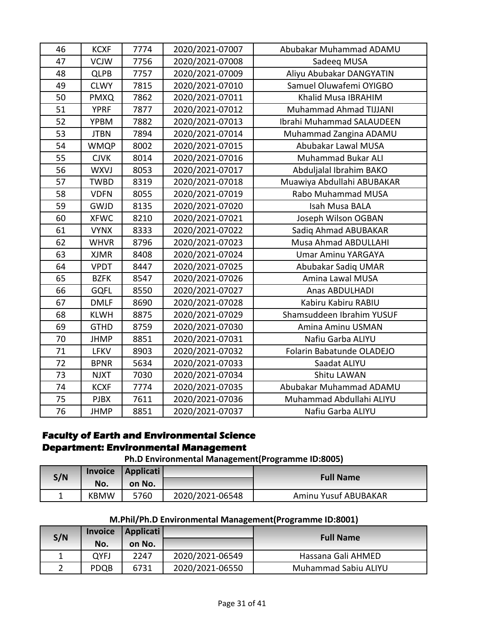| 46 | <b>KCXF</b> | 7774 | 2020/2021-07007 | Abubakar Muhammad ADAMU    |
|----|-------------|------|-----------------|----------------------------|
| 47 | <b>VCJW</b> | 7756 | 2020/2021-07008 | Sadeeq MUSA                |
| 48 | <b>QLPB</b> | 7757 | 2020/2021-07009 | Aliyu Abubakar DANGYATIN   |
| 49 | <b>CLWY</b> | 7815 | 2020/2021-07010 | Samuel Oluwafemi OYIGBO    |
| 50 | <b>PMXQ</b> | 7862 | 2020/2021-07011 | Khalid Musa IBRAHIM        |
| 51 | <b>YPRF</b> | 7877 | 2020/2021-07012 | Muhammad Ahmad TIJJANI     |
| 52 | <b>YPBM</b> | 7882 | 2020/2021-07013 | Ibrahi Muhammad SALAUDEEN  |
| 53 | <b>JTBN</b> | 7894 | 2020/2021-07014 | Muhammad Zangina ADAMU     |
| 54 | <b>WMQP</b> | 8002 | 2020/2021-07015 | Abubakar Lawal MUSA        |
| 55 | <b>CJVK</b> | 8014 | 2020/2021-07016 | <b>Muhammad Bukar ALI</b>  |
| 56 | <b>WXVJ</b> | 8053 | 2020/2021-07017 | Abduljalal Ibrahim BAKO    |
| 57 | <b>TWBD</b> | 8319 | 2020/2021-07018 | Muawiya Abdullahi ABUBAKAR |
| 58 | <b>VDFN</b> | 8055 | 2020/2021-07019 | Rabo Muhammad MUSA         |
| 59 | GWJD        | 8135 | 2020/2021-07020 | Isah Musa BALA             |
| 60 | <b>XFWC</b> | 8210 | 2020/2021-07021 | Joseph Wilson OGBAN        |
| 61 | <b>VYNX</b> | 8333 | 2020/2021-07022 | Sadiq Ahmad ABUBAKAR       |
| 62 | <b>WHVR</b> | 8796 | 2020/2021-07023 | Musa Ahmad ABDULLAHI       |
| 63 | <b>XJMR</b> | 8408 | 2020/2021-07024 | <b>Umar Aminu YARGAYA</b>  |
| 64 | <b>VPDT</b> | 8447 | 2020/2021-07025 | Abubakar Sadiq UMAR        |
| 65 | <b>BZFK</b> | 8547 | 2020/2021-07026 | Amina Lawal MUSA           |
| 66 | <b>GQFL</b> | 8550 | 2020/2021-07027 | Anas ABDULHADI             |
| 67 | <b>DMLF</b> | 8690 | 2020/2021-07028 | Kabiru Kabiru RABIU        |
| 68 | <b>KLWH</b> | 8875 | 2020/2021-07029 | Shamsuddeen Ibrahim YUSUF  |
| 69 | <b>GTHD</b> | 8759 | 2020/2021-07030 | Amina Aminu USMAN          |
| 70 | <b>JHMP</b> | 8851 | 2020/2021-07031 | Nafiu Garba ALIYU          |
| 71 | <b>LFKV</b> | 8903 | 2020/2021-07032 | Folarin Babatunde OLADEJO  |
| 72 | <b>BPNR</b> | 5634 | 2020/2021-07033 | Saadat ALIYU               |
| 73 | <b>NJXT</b> | 7030 | 2020/2021-07034 | Shitu LAWAN                |
| 74 | <b>KCXF</b> | 7774 | 2020/2021-07035 | Abubakar Muhammad ADAMU    |
| 75 | <b>PJBX</b> | 7611 | 2020/2021-07036 | Muhammad Abdullahi ALIYU   |
| 76 | <b>JHMP</b> | 8851 | 2020/2021-07037 | Nafiu Garba ALIYU          |

### **Faculty of Earth and Environmental Science Department: Environmental Management**

**Ph.D Environmental Management(Programme ID:8005)**

| S/N | <b>Invoice</b> | Applicati |                 | <b>Full Name</b>     |
|-----|----------------|-----------|-----------------|----------------------|
|     | No.            | on No.    |                 |                      |
|     | KBMW           | 5760      | 2020/2021-06548 | Aminu Yusuf ABUBAKAR |

### **M.Phil/Ph.D Environmental Management(Programme ID:8001)**

| S/N | <b>Invoice</b> | Applicati |                 | <b>Full Name</b>     |
|-----|----------------|-----------|-----------------|----------------------|
|     | No.            | on No.    |                 |                      |
|     | OYFJ           | 2247      | 2020/2021-06549 | Hassana Gali AHMED   |
|     | <b>PDQB</b>    | 6731      | 2020/2021-06550 | Muhammad Sabiu ALIYU |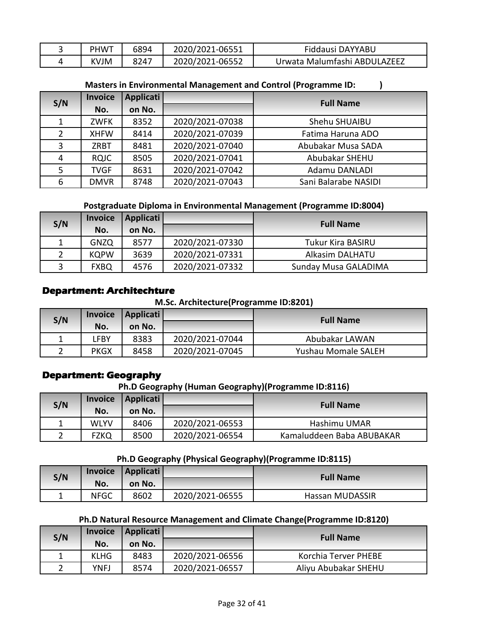| <b>PHWT</b> | 6894 | 2020/2021-06551 | Fiddausi DAYYABU             |
|-------------|------|-----------------|------------------------------|
| KVJM        | 8247 | 2020/2021-06552 | Urwata Malumfashi ABDULAZEEZ |

| <b>Masters in Environmental Management and Control (Programme ID:</b> |                |                  |                 |                      |  |  |
|-----------------------------------------------------------------------|----------------|------------------|-----------------|----------------------|--|--|
| S/N                                                                   | <b>Invoice</b> | <b>Applicati</b> |                 | <b>Full Name</b>     |  |  |
|                                                                       | No.            | on No.           |                 |                      |  |  |
|                                                                       | <b>ZWFK</b>    | 8352             | 2020/2021-07038 | Shehu SHUAIBU        |  |  |
|                                                                       | <b>XHFW</b>    | 8414             | 2020/2021-07039 | Fatima Haruna ADO    |  |  |
| 3                                                                     | ZRBT           | 8481             | 2020/2021-07040 | Abubakar Musa SADA   |  |  |
| 4                                                                     | <b>RQJC</b>    | 8505             | 2020/2021-07041 | Abubakar SHEHU       |  |  |
| 5                                                                     | <b>TVGF</b>    | 8631             | 2020/2021-07042 | Adamu DANLADI        |  |  |
| 6                                                                     | <b>DMVR</b>    | 8748             | 2020/2021-07043 | Sani Balarabe NASIDI |  |  |

| Postgraduate Diploma in Environmental Management (Programme ID:8004) |                |           |                 |                          |  |
|----------------------------------------------------------------------|----------------|-----------|-----------------|--------------------------|--|
| S/N                                                                  | <b>Invoice</b> | Applicati |                 | <b>Full Name</b>         |  |
|                                                                      | No.            | on No.    |                 |                          |  |
|                                                                      | <b>GNZQ</b>    | 8577      | 2020/2021-07330 | <b>Tukur Kira BASIRU</b> |  |
| $\overline{2}$                                                       | <b>KQPW</b>    | 3639      | 2020/2021-07331 | Alkasim DALHATU          |  |
| $\mathbf{3}$                                                         | <b>FXBQ</b>    | 4576      | 2020/2021-07332 | Sunday Musa GALADIMA     |  |

### **Department: Architechture**

**M.Sc. Architecture(Programme ID:8201)**

| S/N | <b>Invoice</b> | <b>Applicati</b> |                 | <b>Full Name</b>    |  |
|-----|----------------|------------------|-----------------|---------------------|--|
|     | No.            | on No.           |                 |                     |  |
|     | LFBY           | 8383             | 2020/2021-07044 | Abubakar LAWAN      |  |
|     | <b>PKGX</b>    | 8458             | 2020/2021-07045 | Yushau Momale SALEH |  |

### **Department: Geography**

**Ph.D Geography (Human Geography)(Programme ID:8116)**

| S/N | <b>Invoice</b> | Applicati |                 | <b>Full Name</b>          |
|-----|----------------|-----------|-----------------|---------------------------|
|     | No.            | on No.    |                 |                           |
|     | <b>WLYV</b>    | 8406      | 2020/2021-06553 | Hashimu UMAR              |
|     | FZKQ           | 8500      | 2020/2021-06554 | Kamaluddeen Baba ABUBAKAR |

### **Ph.D Geography (Physical Geography)(Programme ID:8115)**

| S/N | <b>Invoice</b> | Applicati |                 | <b>Full Name</b> |
|-----|----------------|-----------|-----------------|------------------|
|     | No.            | on No.    |                 |                  |
|     | <b>NFGC</b>    | 8602      | 2020/2021-06555 | Hassan MUDASSIR  |

### **Ph.D Natural Resource Management and Climate Change(Programme ID:8120)**

| S/N | <b>Invoice</b> | Applicati |                 | <b>Full Name</b>     |  |
|-----|----------------|-----------|-----------------|----------------------|--|
|     | No.            | on No.    |                 |                      |  |
|     | <b>KLHG</b>    | 8483      | 2020/2021-06556 | Korchia Terver PHEBE |  |
|     | YNFJ           | 8574      | 2020/2021-06557 | Aliyu Abubakar SHEHU |  |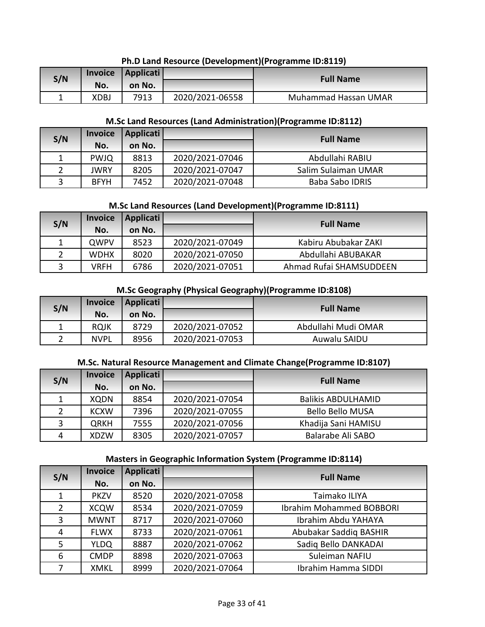|  |  | Ph.D Land Resource (Development) (Programme ID:8119) |  |
|--|--|------------------------------------------------------|--|
|  |  |                                                      |  |

| S/N |      | Invoice   Applicati |                 | <b>Full Name</b>     |
|-----|------|---------------------|-----------------|----------------------|
|     | No.  | on No.              |                 |                      |
|     | XDBJ | 7913                | 2020/2021-06558 | Muhammad Hassan UMAR |

### **M.Sc Land Resources (Land Administration)(Programme ID:8112)**

| S/N | Applicati<br><b>Invoice</b> |        | <b>Full Name</b> |                        |
|-----|-----------------------------|--------|------------------|------------------------|
|     | No.                         | on No. |                  |                        |
|     | <b>PWJQ</b>                 | 8813   | 2020/2021-07046  | Abdullahi RABIU        |
|     | JWRY                        | 8205   | 2020/2021-07047  | Salim Sulaiman UMAR    |
|     | <b>BFYH</b>                 | 7452   | 2020/2021-07048  | <b>Baba Sabo IDRIS</b> |

### **M.Sc Land Resources (Land Development)(Programme ID:8111)**

| S/N | <b>Invoice</b> | Applicati |                 | <b>Full Name</b>        |
|-----|----------------|-----------|-----------------|-------------------------|
|     | No.            | on No.    |                 |                         |
|     | QWPV           | 8523      | 2020/2021-07049 | Kabiru Abubakar ZAKI    |
|     | <b>WDHX</b>    | 8020      | 2020/2021-07050 | Abdullahi ABUBAKAR      |
|     | VRFH           | 6786      | 2020/2021-07051 | Ahmad Rufai SHAMSUDDEEN |

### **M.Sc Geography (Physical Geography)(Programme ID:8108)**

| S/N | <b>Invoice</b> | Applicati |                 | <b>Full Name</b>    |
|-----|----------------|-----------|-----------------|---------------------|
|     | No.            | on No.    |                 |                     |
|     | <b>RQJK</b>    | 8729      | 2020/2021-07052 | Abdullahi Mudi OMAR |
|     | <b>NVPL</b>    | 8956      | 2020/2021-07053 | Auwalu SAIDU        |

### **M.Sc. Natural Resource Management and Climate Change(Programme ID:8107)**

| S/N | <b>Invoice</b> | Applicati |                 | <b>Full Name</b>          |
|-----|----------------|-----------|-----------------|---------------------------|
|     | No.            | on No.    |                 |                           |
|     | <b>XQDN</b>    | 8854      | 2020/2021-07054 | <b>Balikis ABDULHAMID</b> |
|     | <b>KCXW</b>    | 7396      | 2020/2021-07055 | <b>Bello Bello MUSA</b>   |
| 3   | <b>QRKH</b>    | 7555      | 2020/2021-07056 | Khadija Sani HAMISU       |
| 4   | <b>XDZW</b>    | 8305      | 2020/2021-07057 | Balarabe Ali SABO         |

### **Masters in Geographic Information System (Programme ID:8114)**

| S/N            | <b>Invoice</b> | <b>Applicati</b> |                 | <b>Full Name</b>                |
|----------------|----------------|------------------|-----------------|---------------------------------|
|                | No.            | on No.           |                 |                                 |
|                | <b>PKZV</b>    | 8520             | 2020/2021-07058 | Taimako ILIYA                   |
| $\overline{2}$ | <b>XCQW</b>    | 8534             | 2020/2021-07059 | <b>Ibrahim Mohammed BOBBORI</b> |
| 3              | <b>MWNT</b>    | 8717             | 2020/2021-07060 | Ibrahim Abdu YAHAYA             |
| 4              | <b>FLWX</b>    | 8733             | 2020/2021-07061 | Abubakar Saddiq BASHIR          |
| 5              | <b>YLDQ</b>    | 8887             | 2020/2021-07062 | Sadiq Bello DANKADAI            |
| 6              | <b>CMDP</b>    | 8898             | 2020/2021-07063 | Suleiman NAFIU                  |
|                | <b>XMKL</b>    | 8999             | 2020/2021-07064 | Ibrahim Hamma SIDDI             |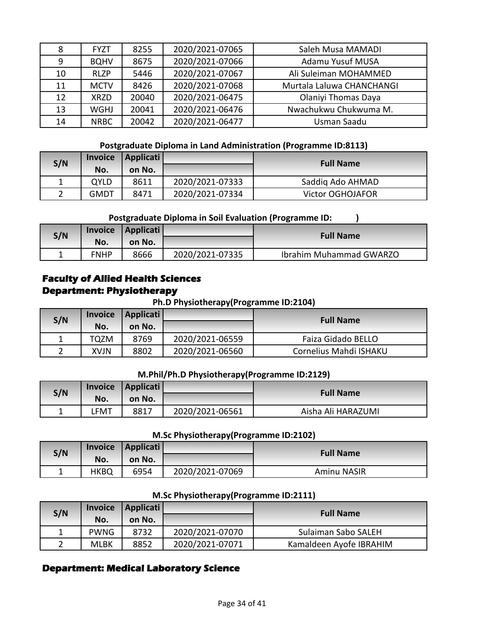| 8  | <b>FYZT</b>       | 8255  | 2020/2021-07065 | Saleh Musa MAMADI         |
|----|-------------------|-------|-----------------|---------------------------|
| 9  | <b>BQHV</b>       | 8675  | 2020/2021-07066 | Adamu Yusuf MUSA          |
| 10 | RI <sub>7</sub> P | 5446  | 2020/2021-07067 | Ali Suleiman MOHAMMED     |
| 11 | <b>MCTV</b>       | 8426  | 2020/2021-07068 | Murtala Laluwa CHANCHANGI |
| 12 | <b>XRZD</b>       | 20040 | 2020/2021-06475 | Olaniyi Thomas Daya       |
| 13 | WGHJ              | 20041 | 2020/2021-06476 | Nwachukwu Chukwuma M.     |
| 14 | <b>NRBC</b>       | 20042 | 2020/2021-06477 | Usman Saadu               |

#### **Postgraduate Diploma in Land Administration (Programme ID:8113)**

| S/N | <b>Invoice</b><br>No. | Applicati<br>on No. |                 | <b>Full Name</b>        |
|-----|-----------------------|---------------------|-----------------|-------------------------|
|     | OYLD                  | 8611                | 2020/2021-07333 | Saddig Ado AHMAD        |
|     | GMDT                  | 8471                | 2020/2021-07334 | <b>Victor OGHOJAFOR</b> |

**Postgraduate Diploma in Soil Evaluation (Programme ID: )**

| S/N | <b>Invoice</b> | Applicati |                 | <b>Full Name</b>        |
|-----|----------------|-----------|-----------------|-------------------------|
|     | No.            | on No.    |                 |                         |
| -   | <b>FNHP</b>    | 8666      | 2020/2021-07335 | Ibrahim Muhammad GWARZO |

### **Faculty of Allied Health Sciences Department: Physiotherapy**

**Ph.D Physiotherapy(Programme ID:2104)**

| S/N | <b>Invoice</b> | Applicati |                 | <b>Full Name</b>       |
|-----|----------------|-----------|-----------------|------------------------|
|     | No.            | on No.    |                 |                        |
|     | <b>TQZM</b>    | 8769      | 2020/2021-06559 | Faiza Gidado BELLO     |
|     | XVJN           | 8802      | 2020/2021-06560 | Cornelius Mahdi ISHAKU |

#### **M.Phil/Ph.D Physiotherapy(Programme ID:2129)**

| S/N | <b>Invoice</b> | Applicati |                 |                    |
|-----|----------------|-----------|-----------------|--------------------|
|     | No.            | on No.    |                 | <b>Full Name</b>   |
|     | LFMT           | 8817      | 2020/2021-06561 | Aisha Ali HARAZUMI |

#### **M.Sc Physiotherapy(Programme ID:2102)**

| S/N | <b>Invoice</b> | Applicati |                 | <b>Full Name</b>   |
|-----|----------------|-----------|-----------------|--------------------|
|     | No.            | on No.    |                 |                    |
| ÷   | <b>HKBQ</b>    | 6954      | 2020/2021-07069 | <b>Aminu NASIR</b> |

#### **M.Sc Physiotherapy(Programme ID:2111)**

| S/N | <b>Invoice</b> | Applicati |                 | <b>Full Name</b>        |
|-----|----------------|-----------|-----------------|-------------------------|
|     | No.            | on No.    |                 |                         |
|     | <b>PWNG</b>    | 8732      | 2020/2021-07070 | Sulaiman Sabo SALEH     |
|     | MLBK           | 8852      | 2020/2021-07071 | Kamaldeen Ayofe IBRAHIM |

### **Department: Medical Laboratory Science**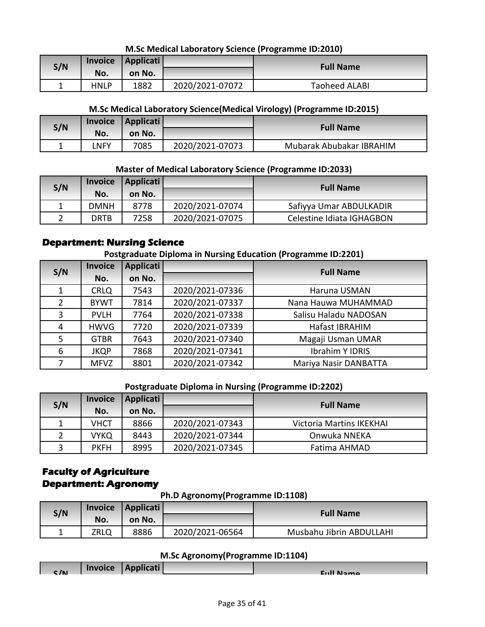### **M.Sc Medical Laboratory Science (Programme ID:2010)**

| S/N |      | Invoice   Applicati |                 | <b>Full Name</b> |
|-----|------|---------------------|-----------------|------------------|
|     | No.  | on No.              |                 |                  |
|     | HNLP | 1882                | 2020/2021-07072 | Taoheed ALABI    |

### **M.Sc Medical Laboratory Science(Medical Virology) (Programme ID:2015)**

| S/N | <b>Invoice</b> | <b>Applicati</b> |                 | <b>Full Name</b>         |
|-----|----------------|------------------|-----------------|--------------------------|
|     | No.            | on No.           |                 |                          |
|     | <b>LNFY</b>    | 7085             | 2020/2021-07073 | Mubarak Abubakar IBRAHIM |

#### **Master of Medical Laboratory Science (Programme ID:2033)**

| S/N | <b>Invoice</b> | <b>Applicati</b> |                 | <b>Full Name</b>          |
|-----|----------------|------------------|-----------------|---------------------------|
|     | No.            | on No.           |                 |                           |
|     | <b>DMNH</b>    | 8778             | 2020/2021-07074 | Safiyya Umar ABDULKADIR   |
|     | <b>DRTB</b>    | 7258             | 2020/2021-07075 | Celestine Idiata IGHAGBON |

### **Department: Nursing Science**

#### **Postgraduate Diploma in Nursing Education (Programme ID:2201)**

| S/N            | <b>Invoice</b> | <b>Applicati</b> | <b>Full Name</b> |                        |
|----------------|----------------|------------------|------------------|------------------------|
|                | No.            | on No.           |                  |                        |
|                | <b>CRLQ</b>    | 7543             | 2020/2021-07336  | Haruna USMAN           |
| $\overline{2}$ | <b>BYWT</b>    | 7814             | 2020/2021-07337  | Nana Hauwa MUHAMMAD    |
| 3              | <b>PVLH</b>    | 7764             | 2020/2021-07338  | Salisu Haladu NADOSAN  |
| 4              | <b>HWVG</b>    | 7720             | 2020/2021-07339  | Hafast IBRAHIM         |
| 5              | <b>GTBR</b>    | 7643             | 2020/2021-07340  | Magaji Usman UMAR      |
| 6              | <b>JKQP</b>    | 7868             | 2020/2021-07341  | <b>Ibrahim Y IDRIS</b> |
|                | <b>MFVZ</b>    | 8801             | 2020/2021-07342  | Mariya Nasir DANBATTA  |

#### **Postgraduate Diploma in Nursing (Programme ID:2202)**

| S/N | <b>Invoice</b> | Applicati |                 | <b>Full Name</b>                |
|-----|----------------|-----------|-----------------|---------------------------------|
|     | No.            | on No.    |                 |                                 |
|     | VHCT           | 8866      | 2020/2021-07343 | <b>Victoria Martins IKEKHAI</b> |
|     | <b>VYKQ</b>    | 8443      | 2020/2021-07344 | Onwuka NNEKA                    |
|     | <b>PKFH</b>    | 8995      | 2020/2021-07345 | Fatima AHMAD                    |

### **Faculty of Agriculture Department: Agronomy**

**Ph.D Agronomy(Programme ID:1108)**

| S/N |      | Invoice   Applicati |                 | <b>Full Name</b>         |
|-----|------|---------------------|-----------------|--------------------------|
|     | No.  | on No.              |                 |                          |
|     | ZRLQ | 8886                | 2020/2021-06564 | Musbahu Jibrin ABDULLAHI |

#### **M.Sc Agronomy(Programme ID:1104)**

|     |                |                          |  | __ |                             |
|-----|----------------|--------------------------|--|----|-----------------------------|
| C/N | <b>Invoice</b> | $\bullet$<br>  Applicati |  |    | <b>C.JI</b><br><b>N</b> ame |
|     |                |                          |  |    |                             |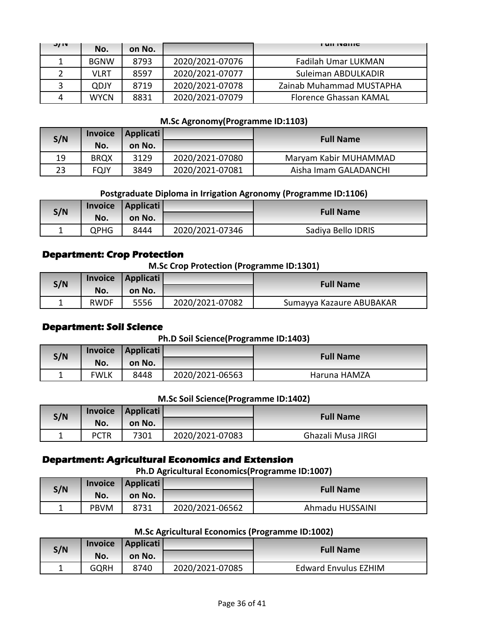| <b>J/IV</b> | No.         | on No. |                 | <b>FUILIVALLIC</b>         |
|-------------|-------------|--------|-----------------|----------------------------|
|             | <b>BGNW</b> | 8793   | 2020/2021-07076 | <b>Fadilah Umar LUKMAN</b> |
|             | VLRT        | 8597   | 2020/2021-07077 | Suleiman ABDULKADIR        |
|             | QDJY        | 8719   | 2020/2021-07078 | Zainab Muhammad MUSTAPHA   |
| 4           | <b>WYCN</b> | 8831   | 2020/2021-07079 | Florence Ghassan KAMAL     |

#### **M.Sc Agronomy(Programme ID:1103)**

| S/N |             | Invoice   Applicati |                 | <b>Full Name</b>      |
|-----|-------------|---------------------|-----------------|-----------------------|
|     | No.         | on No.              |                 |                       |
| 19  | <b>BRQX</b> | 3129                | 2020/2021-07080 | Maryam Kabir MUHAMMAD |
| 23  | <b>FQJY</b> | 3849                | 2020/2021-07081 | Aisha Imam GALADANCHI |

### **Postgraduate Diploma in Irrigation Agronomy (Programme ID:1106)**

| S/N |             | Invoice   Applicati |                 | <b>Full Name</b>   |
|-----|-------------|---------------------|-----------------|--------------------|
|     | No.         | on No.              |                 |                    |
|     | <b>QPHG</b> | 8444                | 2020/2021-07346 | Sadiya Bello IDRIS |

### **Department: Crop Protection**

**M.Sc Crop Protection (Programme ID:1301)**

| S/N |             | Invoice   Applicati |                 | <b>Full Name</b>         |
|-----|-------------|---------------------|-----------------|--------------------------|
|     | No.         | on No.              |                 |                          |
|     | <b>RWDF</b> | 5556                | 2020/2021-07082 | Sumayya Kazaure ABUBAKAR |

#### **Department: Soil Science**

**Ph.D Soil Science(Programme ID:1403)**

| S/N | <b>Invoice</b> | Applicati |                 | <b>Full Name</b> |
|-----|----------------|-----------|-----------------|------------------|
|     | No.            | on No.    |                 |                  |
|     | <b>FWLK</b>    | 8448      | 2020/2021-06563 | Haruna HAMZA     |

#### **M.Sc Soil Science(Programme ID:1402)**

| S/N |             | Invoice   Applicati |                 | <b>Full Name</b>   |  |
|-----|-------------|---------------------|-----------------|--------------------|--|
|     | No.         | on No.              |                 |                    |  |
|     | <b>PCTR</b> | 7301                | 2020/2021-07083 | Ghazali Musa JIRGI |  |

### **Department: Agricultural Economics and Extension**

**Ph.D Agricultural Economics(Programme ID:1007)**

| S/N | <b>Invoice</b> | Applicati |                 | <b>Full Name</b> |  |
|-----|----------------|-----------|-----------------|------------------|--|
|     | No.            | on No.    |                 |                  |  |
| --  | <b>PBVM</b>    | 8731      | 2020/2021-06562 | Ahmadu HUSSAINI  |  |

#### **M.Sc Agricultural Economics (Programme ID:1002)**

| S/N |             | Invoice   Applicati |                 | <b>Full Name</b>            |
|-----|-------------|---------------------|-----------------|-----------------------------|
|     | No.         | on No.              |                 |                             |
|     | <b>GQRH</b> | 8740                | 2020/2021-07085 | <b>Edward Envulus EZHIM</b> |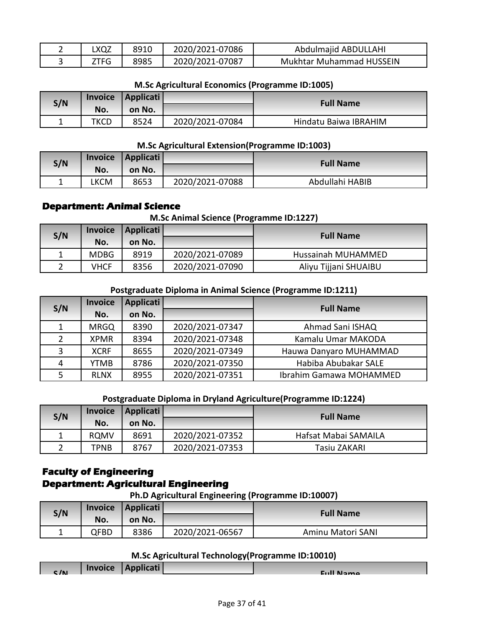| LXQZ | 8910 | 2020/2021-07086 | Abdulmajid ABDULLAHI            |
|------|------|-----------------|---------------------------------|
|      | 8985 | 2020/2021-07087 | <b>Mukhtar Muhammad HUSSEIN</b> |

| M.Sc Agricultural Economics (Programme ID:1005) |  |  |  |
|-------------------------------------------------|--|--|--|
|-------------------------------------------------|--|--|--|

| S/N | Invoice     | Applicati |                 | <b>Full Name</b>      |
|-----|-------------|-----------|-----------------|-----------------------|
|     | No.         | on No.    |                 |                       |
|     | <b>TKCL</b> | 8524      | 2020/2021-07084 | Hindatu Baiwa IBRAHIM |

### **M.Sc Agricultural Extension(Programme ID:1003)**

| S/N | <b>Invoice</b> | Applicati |                 | <b>Full Name</b> |
|-----|----------------|-----------|-----------------|------------------|
|     | No.            | on No.    |                 |                  |
|     | LKCM           | 8653      | 2020/2021-07088 | Abdullahi HABIB  |

### **Department: Animal Science**

#### **M.Sc Animal Science (Programme ID:1227)**

| S/N | <b>Invoice</b> | Applicati |                 | <b>Full Name</b>      |
|-----|----------------|-----------|-----------------|-----------------------|
|     | No.            | on No.    |                 |                       |
|     | MDBG           | 8919      | 2020/2021-07089 | Hussainah MUHAMMED    |
|     | VHCF           | 8356      | 2020/2021-07090 | Aliyu Tijjani SHUAIBU |

### **Postgraduate Diploma in Animal Science (Programme ID:1211)**

| S/N           | <b>Invoice</b> | <b>Applicati</b> |                 | <b>Full Name</b>        |
|---------------|----------------|------------------|-----------------|-------------------------|
|               | No.            | on No.           |                 |                         |
|               | <b>MRGQ</b>    | 8390             | 2020/2021-07347 | Ahmad Sani ISHAQ        |
| $\mathcal{P}$ | <b>XPMR</b>    | 8394             | 2020/2021-07348 | Kamalu Umar MAKODA      |
| 3             | <b>XCRF</b>    | 8655             | 2020/2021-07349 | Hauwa Danyaro MUHAMMAD  |
| 4             | <b>YTMB</b>    | 8786             | 2020/2021-07350 | Habiba Abubakar SALE    |
|               | <b>RLNX</b>    | 8955             | 2020/2021-07351 | Ibrahim Gamawa MOHAMMED |

### **Postgraduate Diploma in Dryland Agriculture(Programme ID:1224)**

| S/N | <b>Invoice</b> | Applicati |                 | <b>Full Name</b>     |
|-----|----------------|-----------|-----------------|----------------------|
|     | No.            | on No.    |                 |                      |
|     | <b>ROMV</b>    | 8691      | 2020/2021-07352 | Hafsat Mabai SAMAILA |
|     | TPNB           | 8767      | 2020/2021-07353 | Tasiu ZAKARI         |

### **Faculty of Engineering Department: Agricultural Engineering**

**Ph.D Agricultural Engineering (Programme ID:10007)**

| S/N | <b>Invoice</b> | Applicati |                 | <b>Full Name</b>  |
|-----|----------------|-----------|-----------------|-------------------|
|     | No.            | on No.    |                 |                   |
|     | QFBD           | 8386      | 2020/2021-06567 | Aminu Matori SANI |

#### **M.Sc Agricultural Technology(Programme ID:10010)**

| C/N | Invoice Applicati | Eull Namo |
|-----|-------------------|-----------|
|     |                   |           |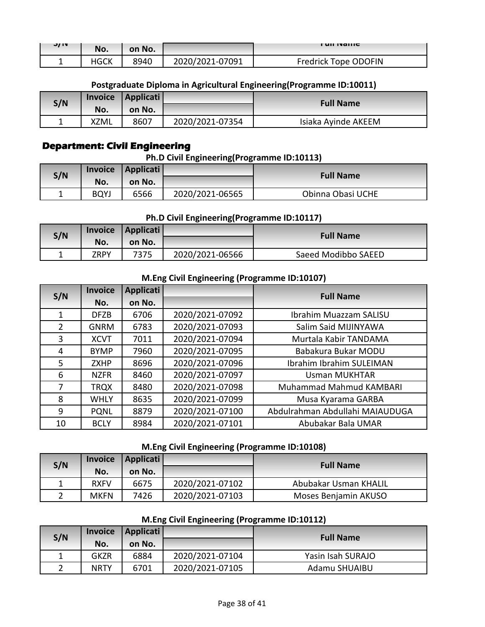|     |     |        |                 | <b>FUILIVALLIC</b>   |
|-----|-----|--------|-----------------|----------------------|
| J/N | No. | on No. |                 |                      |
|     |     | 8940   | 2020/2021-07091 | Fredrick Tope ODOFIN |

### **Postgraduate Diploma in Agricultural Engineering(Programme ID:10011)**

| S/N | <b>Invoice</b> | Applicati |                 | <b>Full Name</b>    |
|-----|----------------|-----------|-----------------|---------------------|
|     | No.            | on No.    |                 |                     |
|     | XZML           | 8607      | 2020/2021-07354 | Isiaka Avinde AKEEM |

### **Department: Civil Engineering**

### **Ph.D Civil Engineering(Programme ID:10113)**

| S/N |             | Invoice   Applicati |                 | <b>Full Name</b>  |
|-----|-------------|---------------------|-----------------|-------------------|
|     | No.         | on No.              |                 |                   |
|     | <b>BQYJ</b> | 6566                | 2020/2021-06565 | Obinna Obasi UCHE |

#### **Ph.D Civil Engineering(Programme ID:10117)**

| S/N | <b>Invoice</b> | <b>Applicati</b> |                 | <b>Full Name</b>    |
|-----|----------------|------------------|-----------------|---------------------|
|     | No.            | on No.           |                 |                     |
|     | ZRPY           | 7375             | 2020/2021-06566 | Saeed Modibbo SAEED |

#### **M.Eng Civil Engineering (Programme ID:10107)**

| S/N            | <b>Invoice</b> | <b>Applicati</b> |                 | <b>Full Name</b>                |
|----------------|----------------|------------------|-----------------|---------------------------------|
|                | No.            | on No.           |                 |                                 |
|                | <b>DFZB</b>    | 6706             | 2020/2021-07092 | Ibrahim Muazzam SALISU          |
| $\overline{2}$ | <b>GNRM</b>    | 6783             | 2020/2021-07093 | Salim Said MIJINYAWA            |
| 3              | <b>XCVT</b>    | 7011             | 2020/2021-07094 | Murtala Kabir TANDAMA           |
| 4              | <b>BYMP</b>    | 7960             | 2020/2021-07095 | Babakura Bukar MODU             |
| 5.             | <b>ZXHP</b>    | 8696             | 2020/2021-07096 | Ibrahim Ibrahim SULEIMAN        |
| 6              | <b>NZFR</b>    | 8460             | 2020/2021-07097 | <b>Usman MUKHTAR</b>            |
| 7              | <b>TRQX</b>    | 8480             | 2020/2021-07098 | Muhammad Mahmud KAMBARI         |
| 8              | <b>WHLY</b>    | 8635             | 2020/2021-07099 | Musa Kyarama GARBA              |
| 9              | <b>PQNL</b>    | 8879             | 2020/2021-07100 | Abdulrahman Abdullahi MAIAUDUGA |
| 10             | <b>BCLY</b>    | 8984             | 2020/2021-07101 | Abubakar Bala UMAR              |

### **M.Eng Civil Engineering (Programme ID:10108)**

| S/N | <b>Invoice</b> | Applicati |                 | <b>Full Name</b>      |
|-----|----------------|-----------|-----------------|-----------------------|
|     | No.            | on No.    |                 |                       |
|     | <b>RXFV</b>    | 6675      | 2020/2021-07102 | Abubakar Usman KHALIL |
|     | <b>MKFN</b>    | 7426      | 2020/2021-07103 | Moses Benjamin AKUSO  |

### **M.Eng Civil Engineering (Programme ID:10112)**

| S/N | <b>Invoice</b> | Applicati |                 | <b>Full Name</b>  |
|-----|----------------|-----------|-----------------|-------------------|
|     | No.            | on No.    |                 |                   |
|     | <b>GKZR</b>    | 6884      | 2020/2021-07104 | Yasin Isah SURAJO |
|     | <b>NRTY</b>    | 6701      | 2020/2021-07105 | Adamu SHUAIBU     |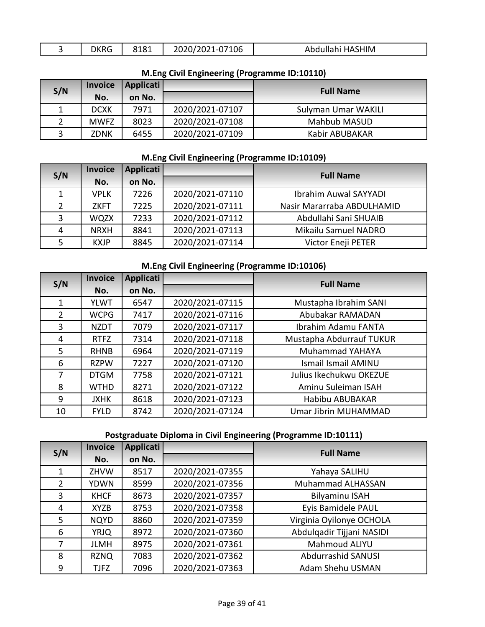| $\tilde{\phantom{a}}$ | $\cdots$<br>או<br>טאוא<br>ັ | 0101<br>0101 | 106<br>. ע−י<br>ZUZUI ZUZI | ASHIM<br>$A^{\rm C}$<br>Abdullahi |
|-----------------------|-----------------------------|--------------|----------------------------|-----------------------------------|

|  | <b>M.Eng Civil Engineering (Programme ID:10110)</b> |  |  |
|--|-----------------------------------------------------|--|--|
|--|-----------------------------------------------------|--|--|

| S/N | <b>Invoice</b> | Applicati |                 | <b>Full Name</b>    |
|-----|----------------|-----------|-----------------|---------------------|
|     | No.            | on No.    |                 |                     |
|     | <b>DCXK</b>    | 7971      | 2020/2021-07107 | Sulyman Umar WAKILI |
|     | <b>MWFZ</b>    | 8023      | 2020/2021-07108 | <b>Mahbub MASUD</b> |
|     | <b>ZDNK</b>    | 6455      | 2020/2021-07109 | Kabir ABUBAKAR      |

### **M.Eng Civil Engineering (Programme ID:10109)**

| S/N          | <b>Invoice</b> | Applicati |                 | <b>Full Name</b>             |
|--------------|----------------|-----------|-----------------|------------------------------|
|              | No.            | on No.    |                 |                              |
| $\mathbf{1}$ | <b>VPLK</b>    | 7226      | 2020/2021-07110 | <b>Ibrahim Auwal SAYYADI</b> |
| 2            | <b>ZKFT</b>    | 7225      | 2020/2021-07111 | Nasir Mararraba ABDULHAMID   |
| 3            | <b>WQZX</b>    | 7233      | 2020/2021-07112 | Abdullahi Sani SHUAIB        |
| 4            | <b>NRXH</b>    | 8841      | 2020/2021-07113 | Mikailu Samuel NADRO         |
|              | <b>KXJP</b>    | 8845      | 2020/2021-07114 | Victor Eneji PETER           |

# **M.Eng Civil Engineering (Programme ID:10106)**

| S/N            | <b>Invoice</b> | <b>Applicati</b> |                 | <b>Full Name</b>           |
|----------------|----------------|------------------|-----------------|----------------------------|
|                | No.            | on No.           |                 |                            |
| 1              | <b>YLWT</b>    | 6547             | 2020/2021-07115 | Mustapha Ibrahim SANI      |
| 2              | <b>WCPG</b>    | 7417             | 2020/2021-07116 | Abubakar RAMADAN           |
| 3              | <b>NZDT</b>    | 7079             | 2020/2021-07117 | Ibrahim Adamu FANTA        |
| 4              | <b>RTFZ</b>    | 7314             | 2020/2021-07118 | Mustapha Abdurrauf TUKUR   |
| 5              | <b>RHNB</b>    | 6964             | 2020/2021-07119 | Muhammad YAHAYA            |
| 6              | <b>RZPW</b>    | 7227             | 2020/2021-07120 | <b>Ismail Ismail AMINU</b> |
| $\overline{7}$ | <b>DTGM</b>    | 7758             | 2020/2021-07121 | Julius Ikechukwu OKEZUE    |
| 8              | <b>WTHD</b>    | 8271             | 2020/2021-07122 | Aminu Suleiman ISAH        |
| 9              | JXHK           | 8618             | 2020/2021-07123 | Habibu ABUBAKAR            |
| 10             | <b>FYLD</b>    | 8742             | 2020/2021-07124 | Umar Jibrin MUHAMMAD       |

### **Postgraduate Diploma in Civil Engineering (Programme ID:10111)**

| S/N | <b>Invoice</b> | <b>Applicati</b> |                 | <b>Full Name</b>          |
|-----|----------------|------------------|-----------------|---------------------------|
|     | No.            | on No.           |                 |                           |
|     | ZHVW           | 8517             | 2020/2021-07355 | Yahaya SALIHU             |
|     | <b>YDWN</b>    | 8599             | 2020/2021-07356 | Muhammad ALHASSAN         |
| 3   | <b>KHCF</b>    | 8673             | 2020/2021-07357 | <b>Bilyaminu ISAH</b>     |
| 4   | <b>XYZB</b>    | 8753             | 2020/2021-07358 | Eyis Bamidele PAUL        |
| 5   | <b>NQYD</b>    | 8860             | 2020/2021-07359 | Virginia Oyilonye OCHOLA  |
| 6   | <b>YRJQ</b>    | 8972             | 2020/2021-07360 | Abdulgadir Tijjani NASIDI |
|     | <b>JLMH</b>    | 8975             | 2020/2021-07361 | Mahmoud ALIYU             |
| 8   | <b>RZNQ</b>    | 7083             | 2020/2021-07362 | <b>Abdurrashid SANUSI</b> |
| 9   | <b>TJFZ</b>    | 7096             | 2020/2021-07363 | Adam Shehu USMAN          |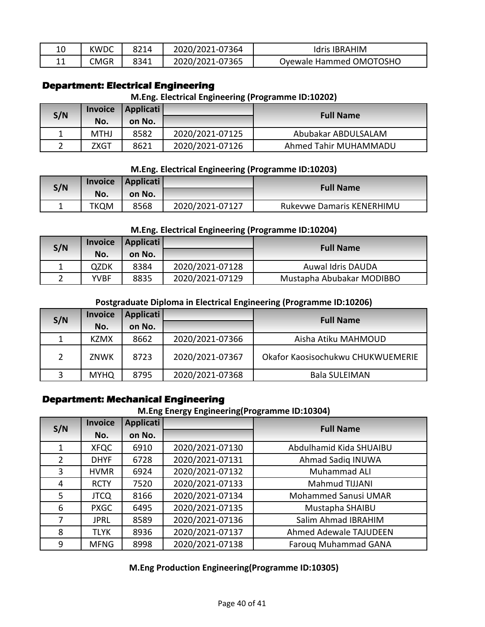| 10 | <b>KWDC</b> | 8214 | 2020/2021-07364 | <b>Idris IBRAHIM</b>    |
|----|-------------|------|-----------------|-------------------------|
| ᆠᆠ | CMGR        | 8341 | 2020/2021-07365 | Ovewale Hammed OMOTOSHO |

### **Department: Electrical Engineering**

#### **M.Eng. Electrical Engineering (Programme ID:10202)**

| S/N | <b>Invoice</b> | Applicati |                 | <b>Full Name</b>      |
|-----|----------------|-----------|-----------------|-----------------------|
|     | No.            | on No.    |                 |                       |
|     | <b>MTHJ</b>    | 8582      | 2020/2021-07125 | Abubakar ABDULSALAM   |
|     | ZXGT           | 8621      | 2020/2021-07126 | Ahmed Tahir MUHAMMADU |

#### **M.Eng. Electrical Engineering (Programme ID:10203)**

| S/N | <b>Invoice</b> | Applicati |                 |                                  |
|-----|----------------|-----------|-----------------|----------------------------------|
|     | No.            | on No.    |                 | <b>Full Name</b>                 |
|     | TKQM           | 8568      | 2020/2021-07127 | <b>Rukevwe Damaris KENERHIMU</b> |

#### **M.Eng. Electrical Engineering (Programme ID:10204)**

| S/N | <b>Invoice</b> | Applicati |                 | <b>Full Name</b>          |
|-----|----------------|-----------|-----------------|---------------------------|
|     | No.            | on No.    |                 |                           |
|     | QZDK           | 8384      | 2020/2021-07128 | Auwal Idris DAUDA         |
|     | YVBF           | 8835      | 2020/2021-07129 | Mustapha Abubakar MODIBBO |

#### **Postgraduate Diploma in Electrical Engineering (Programme ID:10206)**

| S/N            | <b>Invoice</b> | Applicati |                 | <b>Full Name</b>                  |
|----------------|----------------|-----------|-----------------|-----------------------------------|
|                | No.            | on No.    |                 |                                   |
|                | <b>KZMX</b>    | 8662      | 2020/2021-07366 | Aisha Atiku MAHMOUD               |
| $\overline{2}$ | ZNWK           | 8723      | 2020/2021-07367 | Okafor Kaosisochukwu CHUKWUEMERIE |
| ર              | <b>MYHQ</b>    | 8795      | 2020/2021-07368 | <b>Bala SULEIMAN</b>              |

### **Department: Mechanical Engineering**

#### **M.Eng Energy Engineering(Programme ID:10304)**

| S/N            | <b>Invoice</b> | Applicati |                 | <b>Full Name</b>              |
|----------------|----------------|-----------|-----------------|-------------------------------|
|                | No.            | on No.    |                 |                               |
|                | <b>XFQC</b>    | 6910      | 2020/2021-07130 | Abdulhamid Kida SHUAIBU       |
| $\overline{2}$ | <b>DHYF</b>    | 6728      | 2020/2021-07131 | Ahmad Sadiq INUWA             |
| 3              | <b>HVMR</b>    | 6924      | 2020/2021-07132 | Muhammad ALI                  |
| 4              | <b>RCTY</b>    | 7520      | 2020/2021-07133 | Mahmud TIJJANI                |
| 5              | <b>JTCQ</b>    | 8166      | 2020/2021-07134 | <b>Mohammed Sanusi UMAR</b>   |
| 6              | <b>PXGC</b>    | 6495      | 2020/2021-07135 | Mustapha SHAIBU               |
| 7              | <b>JPRL</b>    | 8589      | 2020/2021-07136 | Salim Ahmad IBRAHIM           |
| 8              | <b>TLYK</b>    | 8936      | 2020/2021-07137 | <b>Ahmed Adewale TAJUDEEN</b> |
| 9              | <b>MFNG</b>    | 8998      | 2020/2021-07138 | Faroug Muhammad GANA          |

### **M.Eng Production Engineering(Programme ID:10305)**